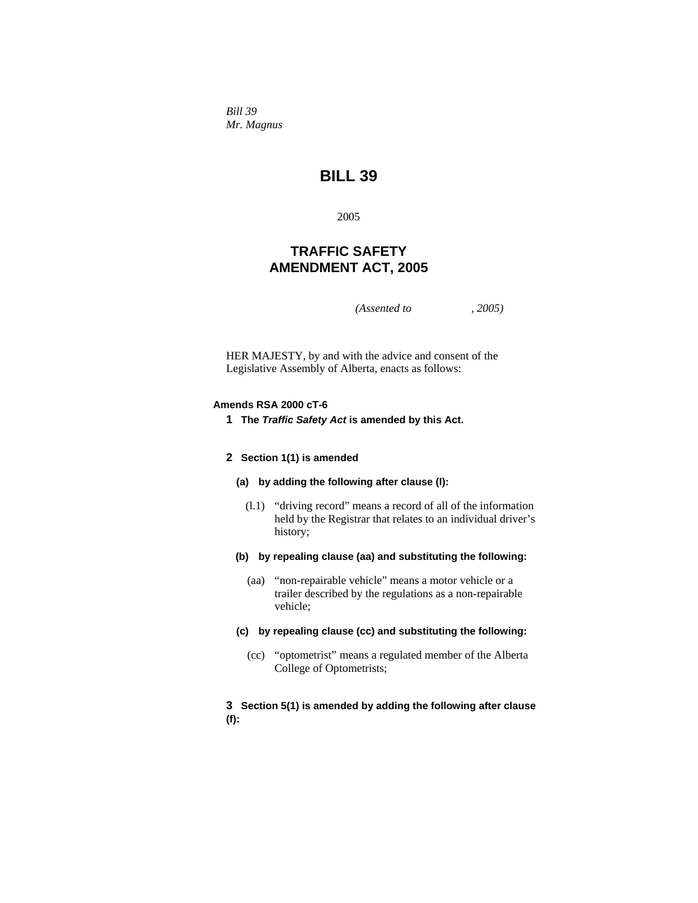*Bill 39 Mr. Magnus* 

# **BILL 39**

2005

# **TRAFFIC SAFETY AMENDMENT ACT, 2005**

*(Assented to , 2005)* 

HER MAJESTY, by and with the advice and consent of the Legislative Assembly of Alberta, enacts as follows:

### **Amends RSA 2000 cT-6**

**1 The** *Traffic Safety Act* **is amended by this Act.**

#### **2 Section 1(1) is amended**

- **(a) by adding the following after clause (l):**
	- (l.1) "driving record" means a record of all of the information held by the Registrar that relates to an individual driver's history;
- **(b) by repealing clause (aa) and substituting the following:**
	- (aa) "non-repairable vehicle" means a motor vehicle or a trailer described by the regulations as a non-repairable vehicle;
- **(c) by repealing clause (cc) and substituting the following:**
	- (cc) "optometrist" means a regulated member of the Alberta College of Optometrists;

### **3 Section 5(1) is amended by adding the following after clause (f):**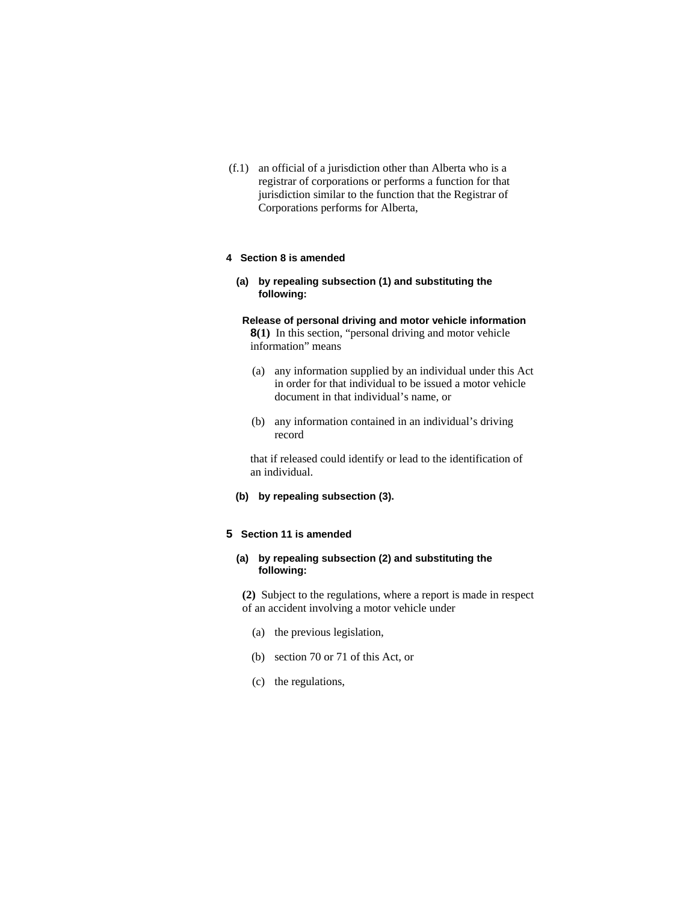(f.1) an official of a jurisdiction other than Alberta who is a registrar of corporations or performs a function for that jurisdiction similar to the function that the Registrar of Corporations performs for Alberta,

### **4 Section 8 is amended**

**(a) by repealing subsection (1) and substituting the following:**

### **Release of personal driving and motor vehicle information 8(1)** In this section, "personal driving and motor vehicle

information" means

- (a) any information supplied by an individual under this Act in order for that individual to be issued a motor vehicle document in that individual's name, or
- (b) any information contained in an individual's driving record

that if released could identify or lead to the identification of an individual.

**(b) by repealing subsection (3).**

### **5 Section 11 is amended**

### **(a) by repealing subsection (2) and substituting the following:**

**(2)** Subject to the regulations, where a report is made in respect of an accident involving a motor vehicle under

- (a) the previous legislation,
- (b) section 70 or 71 of this Act, or
- (c) the regulations,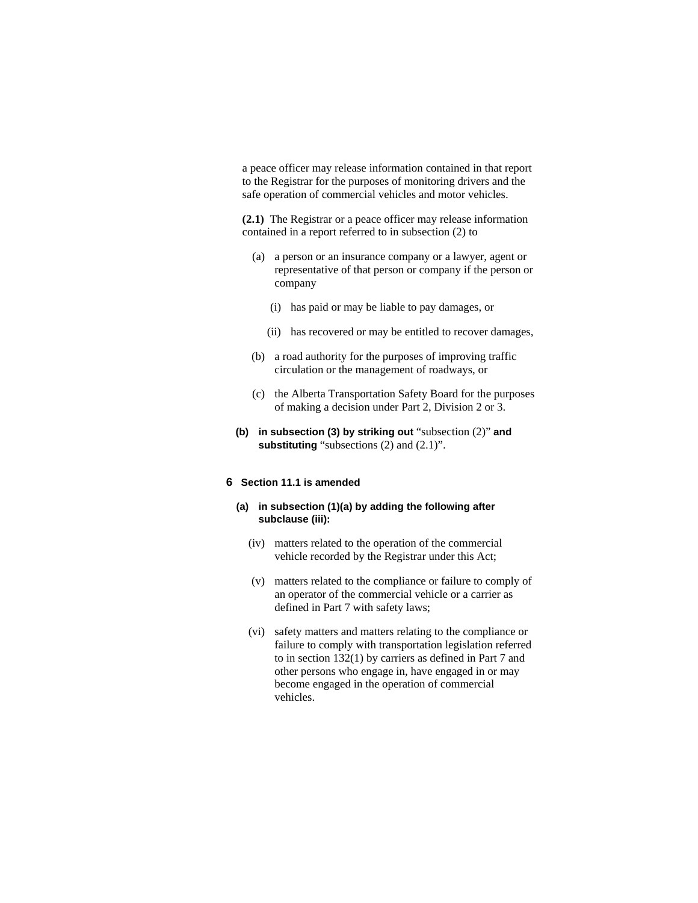a peace officer may release information contained in that report to the Registrar for the purposes of monitoring drivers and the safe operation of commercial vehicles and motor vehicles.

**(2.1)** The Registrar or a peace officer may release information contained in a report referred to in subsection (2) to

- (a) a person or an insurance company or a lawyer, agent or representative of that person or company if the person or company
	- (i) has paid or may be liable to pay damages, or
	- (ii) has recovered or may be entitled to recover damages,
- (b) a road authority for the purposes of improving traffic circulation or the management of roadways, or
- (c) the Alberta Transportation Safety Board for the purposes of making a decision under Part 2, Division 2 or 3.
- **(b) in subsection (3) by striking out** "subsection (2)" **and**  substituting "subsections (2) and (2.1)".

### **6 Section 11.1 is amended**

- **(a) in subsection (1)(a) by adding the following after subclause (iii):**
	- (iv) matters related to the operation of the commercial vehicle recorded by the Registrar under this Act;
	- (v) matters related to the compliance or failure to comply of an operator of the commercial vehicle or a carrier as defined in Part 7 with safety laws;
	- (vi) safety matters and matters relating to the compliance or failure to comply with transportation legislation referred to in section 132(1) by carriers as defined in Part 7 and other persons who engage in, have engaged in or may become engaged in the operation of commercial vehicles.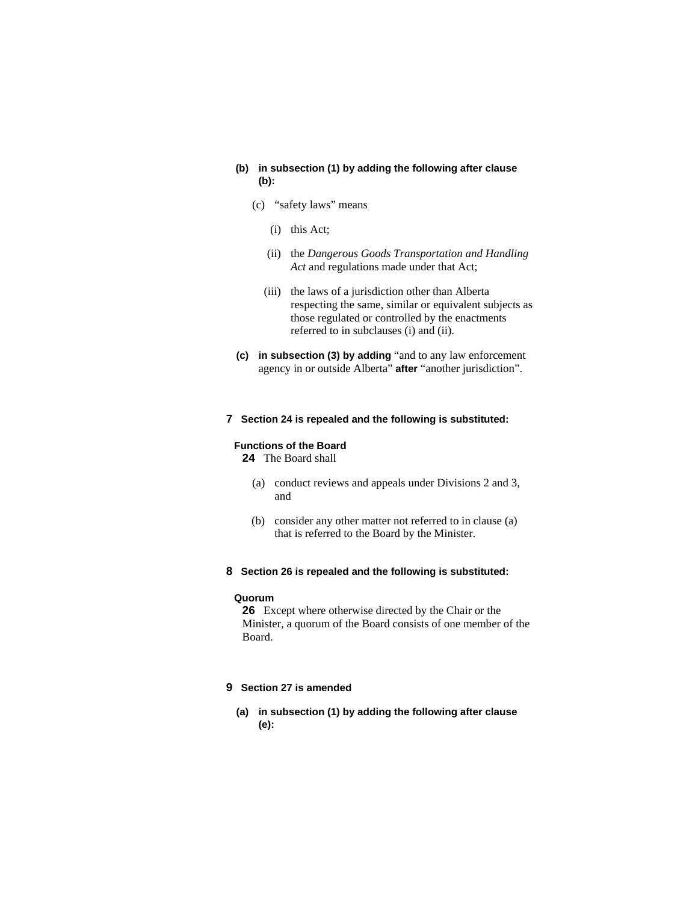### **(b) in subsection (1) by adding the following after clause (b):**

- (c) "safety laws" means
	- (i) this Act;
	- (ii) the *Dangerous Goods Transportation and Handling Act* and regulations made under that Act;
	- (iii) the laws of a jurisdiction other than Alberta respecting the same, similar or equivalent subjects as those regulated or controlled by the enactments referred to in subclauses (i) and (ii).
- **(c) in subsection (3) by adding** "and to any law enforcement agency in or outside Alberta" **after** "another jurisdiction".

### **7 Section 24 is repealed and the following is substituted:**

### **Functions of the Board**

**24** The Board shall

- (a) conduct reviews and appeals under Divisions 2 and 3, and
- (b) consider any other matter not referred to in clause (a) that is referred to the Board by the Minister.
- **8 Section 26 is repealed and the following is substituted:**

#### **Quorum**

**26** Except where otherwise directed by the Chair or the Minister, a quorum of the Board consists of one member of the Board.

### **9 Section 27 is amended**

**(a) in subsection (1) by adding the following after clause (e):**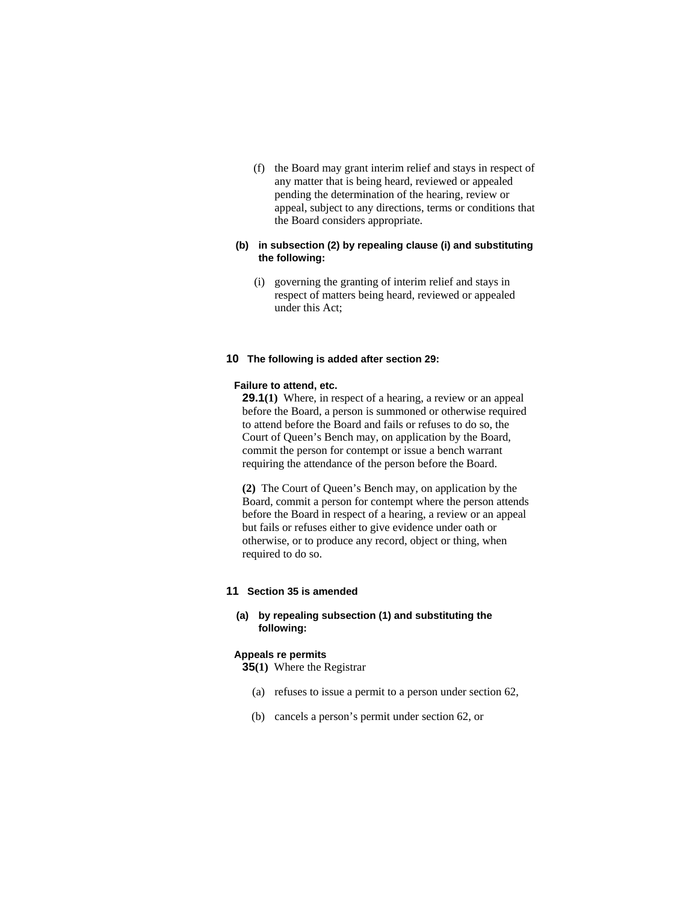(f) the Board may grant interim relief and stays in respect of any matter that is being heard, reviewed or appealed pending the determination of the hearing, review or appeal, subject to any directions, terms or conditions that the Board considers appropriate.

### **(b) in subsection (2) by repealing clause (i) and substituting the following:**

 (i) governing the granting of interim relief and stays in respect of matters being heard, reviewed or appealed under this Act;

### **10 The following is added after section 29:**

#### **Failure to attend, etc.**

**29.1(1)** Where, in respect of a hearing, a review or an appeal before the Board, a person is summoned or otherwise required to attend before the Board and fails or refuses to do so, the Court of Queen's Bench may, on application by the Board, commit the person for contempt or issue a bench warrant requiring the attendance of the person before the Board.

**(2)** The Court of Queen's Bench may, on application by the Board, commit a person for contempt where the person attends before the Board in respect of a hearing, a review or an appeal but fails or refuses either to give evidence under oath or otherwise, or to produce any record, object or thing, when required to do so.

### **11 Section 35 is amended**

### **(a) by repealing subsection (1) and substituting the following:**

#### **Appeals re permits**

**35(1)** Where the Registrar

- (a) refuses to issue a permit to a person under section 62,
- (b) cancels a person's permit under section 62, or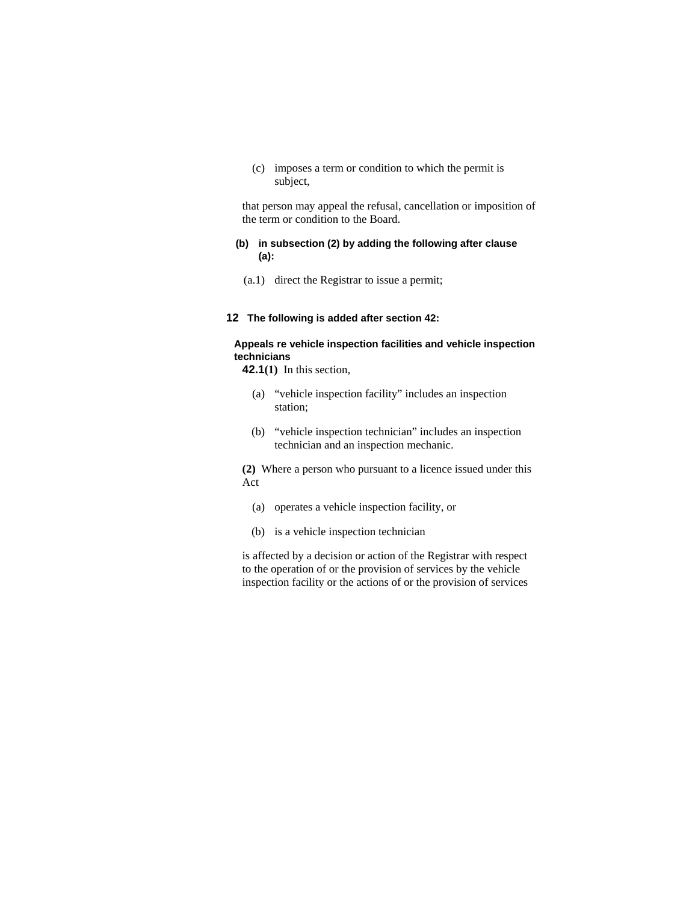(c) imposes a term or condition to which the permit is subject,

that person may appeal the refusal, cancellation or imposition of the term or condition to the Board.

### **(b) in subsection (2) by adding the following after clause (a):**

(a.1) direct the Registrar to issue a permit;

### **12 The following is added after section 42:**

## **Appeals re vehicle inspection facilities and vehicle inspection technicians**

**42.1(1)** In this section,

- (a) "vehicle inspection facility" includes an inspection station;
- (b) "vehicle inspection technician" includes an inspection technician and an inspection mechanic.

**(2)** Where a person who pursuant to a licence issued under this Act

- (a) operates a vehicle inspection facility, or
- (b) is a vehicle inspection technician

is affected by a decision or action of the Registrar with respect to the operation of or the provision of services by the vehicle inspection facility or the actions of or the provision of services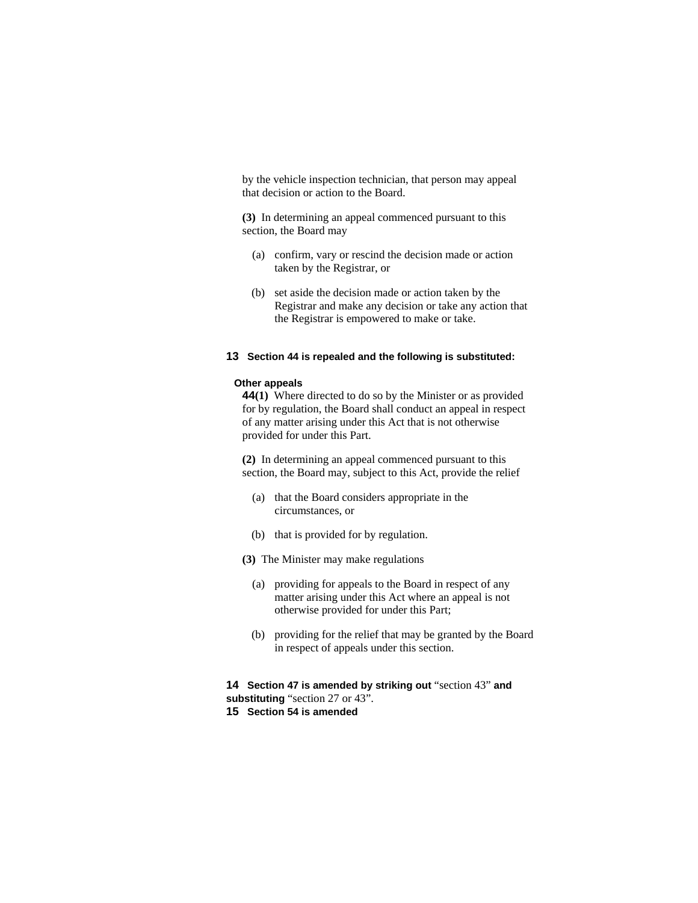by the vehicle inspection technician, that person may appeal that decision or action to the Board.

**(3)** In determining an appeal commenced pursuant to this section, the Board may

- (a) confirm, vary or rescind the decision made or action taken by the Registrar, or
- (b) set aside the decision made or action taken by the Registrar and make any decision or take any action that the Registrar is empowered to make or take.

#### **13 Section 44 is repealed and the following is substituted:**

#### **Other appeals**

**44(1)** Where directed to do so by the Minister or as provided for by regulation, the Board shall conduct an appeal in respect of any matter arising under this Act that is not otherwise provided for under this Part.

**(2)** In determining an appeal commenced pursuant to this section, the Board may, subject to this Act, provide the relief

- (a) that the Board considers appropriate in the circumstances, or
- (b) that is provided for by regulation.
- **(3)** The Minister may make regulations
	- (a) providing for appeals to the Board in respect of any matter arising under this Act where an appeal is not otherwise provided for under this Part;
	- (b) providing for the relief that may be granted by the Board in respect of appeals under this section.

**14 Section 47 is amended by striking out** "section 43" **and substituting** "section 27 or 43".

**15 Section 54 is amended**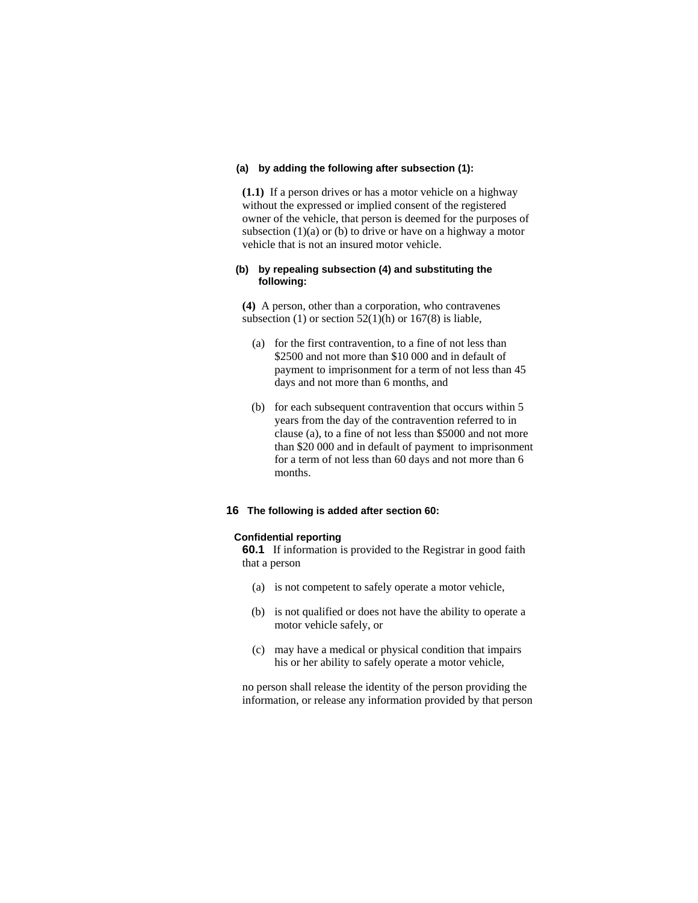#### **(a) by adding the following after subsection (1):**

**(1.1)** If a person drives or has a motor vehicle on a highway without the expressed or implied consent of the registered owner of the vehicle, that person is deemed for the purposes of subsection  $(1)(a)$  or  $(b)$  to drive or have on a highway a motor vehicle that is not an insured motor vehicle.

### **(b) by repealing subsection (4) and substituting the following:**

**(4)** A person, other than a corporation, who contravenes subsection (1) or section  $52(1)(h)$  or  $167(8)$  is liable,

- (a) for the first contravention, to a fine of not less than \$2500 and not more than \$10 000 and in default of payment to imprisonment for a term of not less than 45 days and not more than 6 months, and
- (b) for each subsequent contravention that occurs within 5 years from the day of the contravention referred to in clause (a), to a fine of not less than \$5000 and not more than \$20 000 and in default of payment to imprisonment for a term of not less than 60 days and not more than 6 months.

## **16 The following is added after section 60:**

#### **Confidential reporting**

**60.1** If information is provided to the Registrar in good faith that a person

- (a) is not competent to safely operate a motor vehicle,
- (b) is not qualified or does not have the ability to operate a motor vehicle safely, or
- (c) may have a medical or physical condition that impairs his or her ability to safely operate a motor vehicle,

no person shall release the identity of the person providing the information, or release any information provided by that person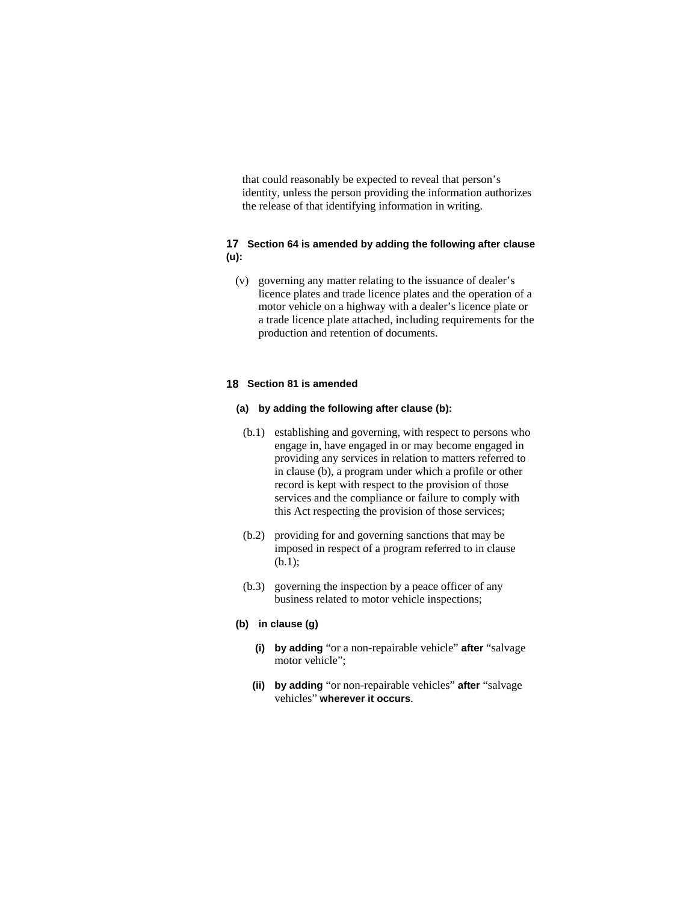that could reasonably be expected to reveal that person's identity, unless the person providing the information authorizes the release of that identifying information in writing.

### **17 Section 64 is amended by adding the following after clause (u):**

 (v) governing any matter relating to the issuance of dealer's licence plates and trade licence plates and the operation of a motor vehicle on a highway with a dealer's licence plate or a trade licence plate attached, including requirements for the production and retention of documents.

### **18 Section 81 is amended**

#### **(a) by adding the following after clause (b):**

- (b.1) establishing and governing, with respect to persons who engage in, have engaged in or may become engaged in providing any services in relation to matters referred to in clause (b), a program under which a profile or other record is kept with respect to the provision of those services and the compliance or failure to comply with this Act respecting the provision of those services;
- (b.2) providing for and governing sanctions that may be imposed in respect of a program referred to in clause (b.1);
- (b.3) governing the inspection by a peace officer of any business related to motor vehicle inspections;

#### **(b) in clause (g)**

- **(i) by adding** "or a non-repairable vehicle" **after** "salvage motor vehicle";
- **(ii) by adding** "or non-repairable vehicles" **after** "salvage vehicles" **wherever it occurs**.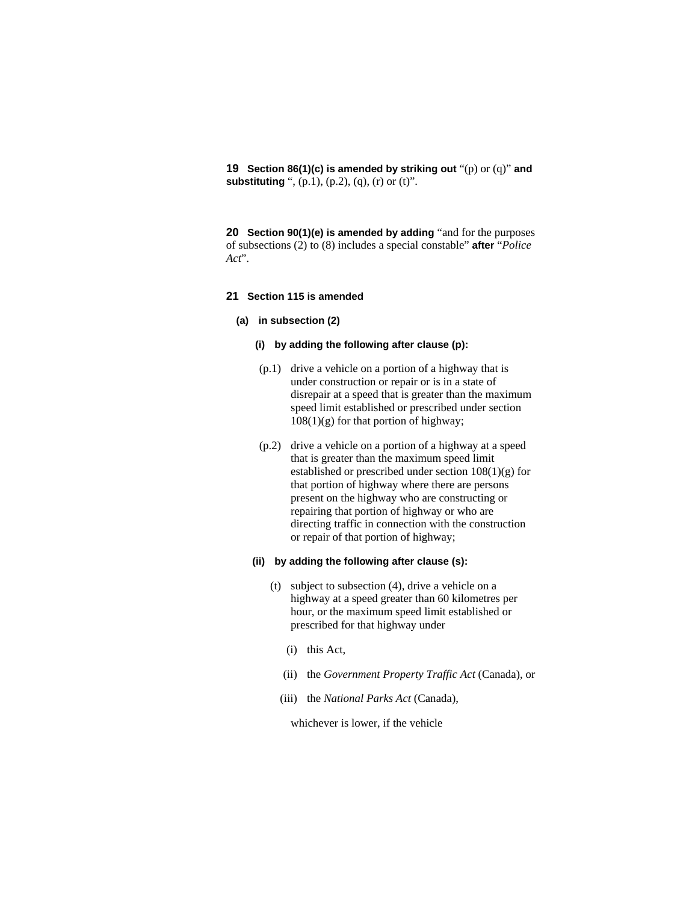**19 Section 86(1)(c) is amended by striking out** "(p) or (q)" **and substituting** ", (p.1), (p.2), (q), (r) or (t)".

**20 Section 90(1)(e) is amended by adding** "and for the purposes of subsections (2) to (8) includes a special constable" **after** "*Police Act*".

#### **21 Section 115 is amended**

#### **(a) in subsection (2)**

### **(i) by adding the following after clause (p):**

- (p.1) drive a vehicle on a portion of a highway that is under construction or repair or is in a state of disrepair at a speed that is greater than the maximum speed limit established or prescribed under section  $108(1)(g)$  for that portion of highway;
- (p.2) drive a vehicle on a portion of a highway at a speed that is greater than the maximum speed limit established or prescribed under section 108(1)(g) for that portion of highway where there are persons present on the highway who are constructing or repairing that portion of highway or who are directing traffic in connection with the construction or repair of that portion of highway;

### **(ii) by adding the following after clause (s):**

- (t) subject to subsection (4), drive a vehicle on a highway at a speed greater than 60 kilometres per hour, or the maximum speed limit established or prescribed for that highway under
	- (i) this Act,
	- (ii) the *Government Property Traffic Act* (Canada), or
	- (iii) the *National Parks Act* (Canada),

whichever is lower, if the vehicle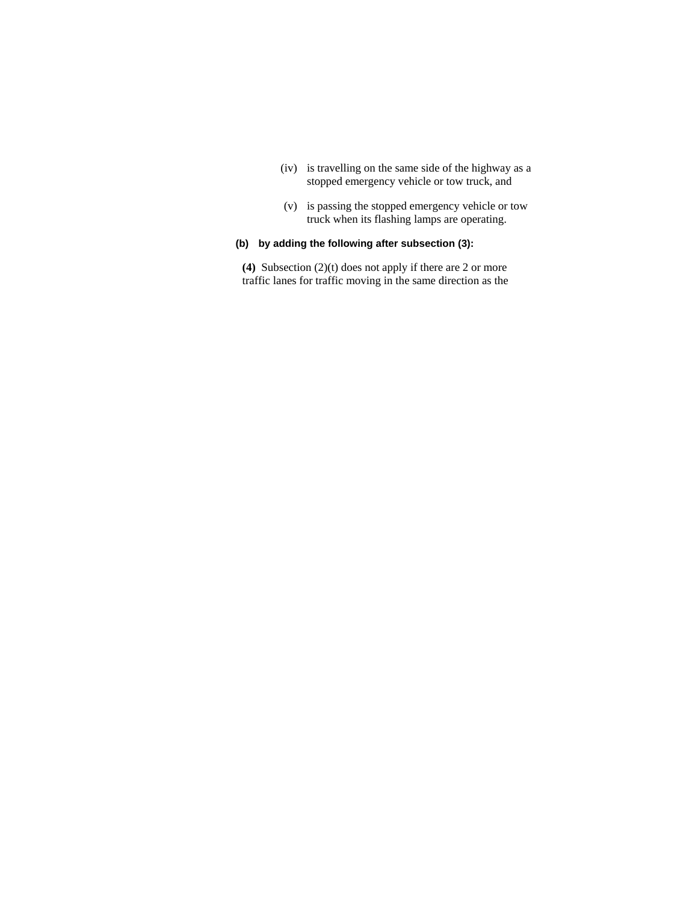- (iv) is travelling on the same side of the highway as a stopped emergency vehicle or tow truck, and
- (v) is passing the stopped emergency vehicle or tow truck when its flashing lamps are operating.

## **(b) by adding the following after subsection (3):**

**(4)** Subsection (2)(t) does not apply if there are 2 or more traffic lanes for traffic moving in the same direction as the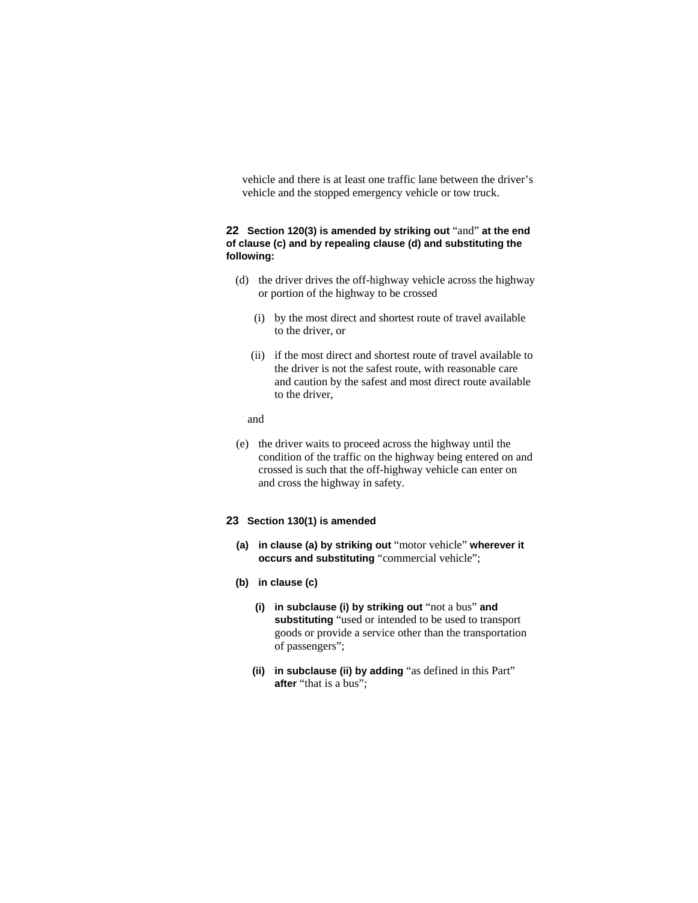vehicle and there is at least one traffic lane between the driver's vehicle and the stopped emergency vehicle or tow truck.

### **22 Section 120(3) is amended by striking out** "and" **at the end of clause (c) and by repealing clause (d) and substituting the following:**

- (d) the driver drives the off-highway vehicle across the highway or portion of the highway to be crossed
	- (i) by the most direct and shortest route of travel available to the driver, or
	- (ii) if the most direct and shortest route of travel available to the driver is not the safest route, with reasonable care and caution by the safest and most direct route available to the driver,

and

 (e) the driver waits to proceed across the highway until the condition of the traffic on the highway being entered on and crossed is such that the off-highway vehicle can enter on and cross the highway in safety.

### **23 Section 130(1) is amended**

- **(a) in clause (a) by striking out** "motor vehicle" **wherever it occurs and substituting** "commercial vehicle";
- **(b) in clause (c)** 
	- **(i) in subclause (i) by striking out** "not a bus" **and substituting** "used or intended to be used to transport goods or provide a service other than the transportation of passengers";
	- **(ii) in subclause (ii) by adding** "as defined in this Part" **after** "that is a bus";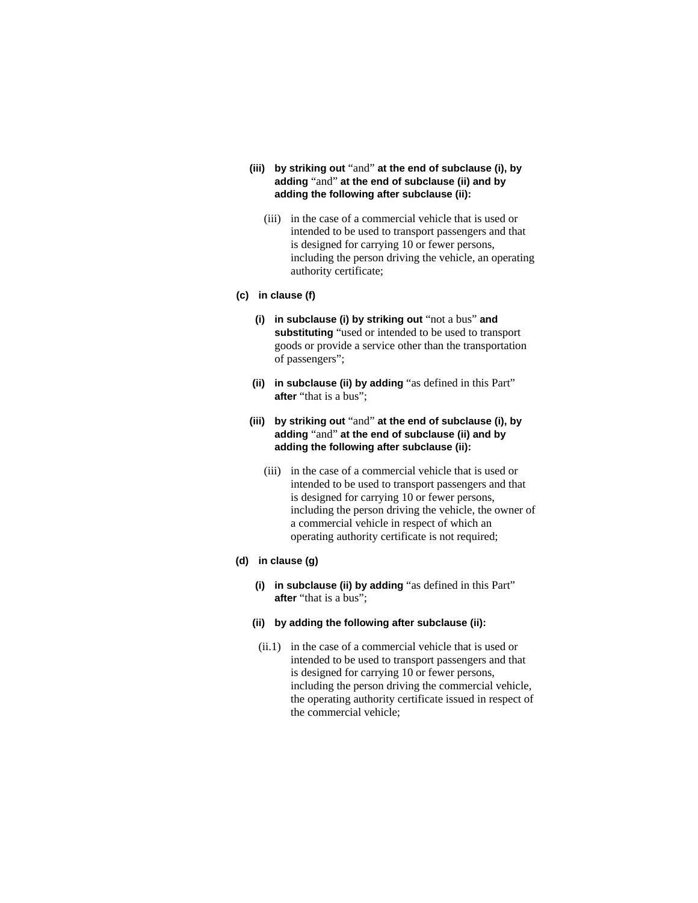- **(iii) by striking out** "and" **at the end of subclause (i), by adding** "and" **at the end of subclause (ii) and by adding the following after subclause (ii):**
	- (iii) in the case of a commercial vehicle that is used or intended to be used to transport passengers and that is designed for carrying 10 or fewer persons, including the person driving the vehicle, an operating authority certificate;

### **(c) in clause (f)**

- **(i) in subclause (i) by striking out** "not a bus" **and substituting** "used or intended to be used to transport goods or provide a service other than the transportation of passengers";
- **(ii) in subclause (ii) by adding** "as defined in this Part" **after** "that is a bus";
- **(iii) by striking out** "and" **at the end of subclause (i), by adding** "and" **at the end of subclause (ii) and by adding the following after subclause (ii):** 
	- (iii) in the case of a commercial vehicle that is used or intended to be used to transport passengers and that is designed for carrying 10 or fewer persons, including the person driving the vehicle, the owner of a commercial vehicle in respect of which an operating authority certificate is not required;

### **(d) in clause (g)**

- **(i) in subclause (ii) by adding** "as defined in this Part" **after** "that is a bus";
- **(ii) by adding the following after subclause (ii):**
- (ii.1) in the case of a commercial vehicle that is used or intended to be used to transport passengers and that is designed for carrying 10 or fewer persons, including the person driving the commercial vehicle, the operating authority certificate issued in respect of the commercial vehicle;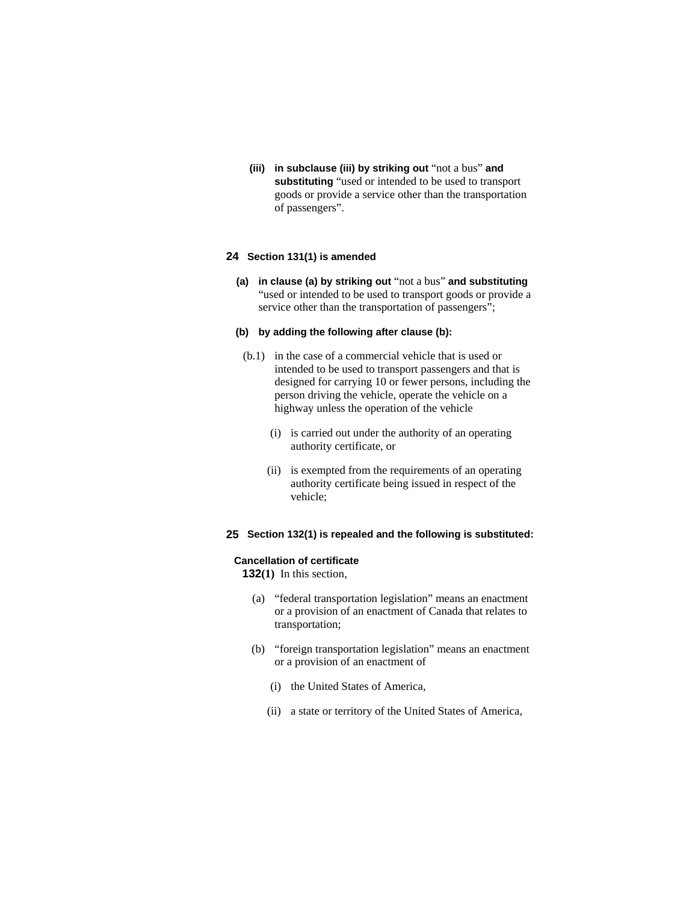**(iii) in subclause (iii) by striking out** "not a bus" **and substituting** "used or intended to be used to transport goods or provide a service other than the transportation of passengers".

### **24 Section 131(1) is amended**

**(a) in clause (a) by striking out** "not a bus" **and substituting**  "used or intended to be used to transport goods or provide a service other than the transportation of passengers";

### **(b) by adding the following after clause (b):**

- (b.1) in the case of a commercial vehicle that is used or intended to be used to transport passengers and that is designed for carrying 10 or fewer persons, including the person driving the vehicle, operate the vehicle on a highway unless the operation of the vehicle
	- (i) is carried out under the authority of an operating authority certificate, or
	- (ii) is exempted from the requirements of an operating authority certificate being issued in respect of the vehicle;

### **25 Section 132(1) is repealed and the following is substituted:**

### **Cancellation of certificate**

**132(1)** In this section,

- (a) "federal transportation legislation" means an enactment or a provision of an enactment of Canada that relates to transportation;
- (b) "foreign transportation legislation" means an enactment or a provision of an enactment of
	- (i) the United States of America,
	- (ii) a state or territory of the United States of America,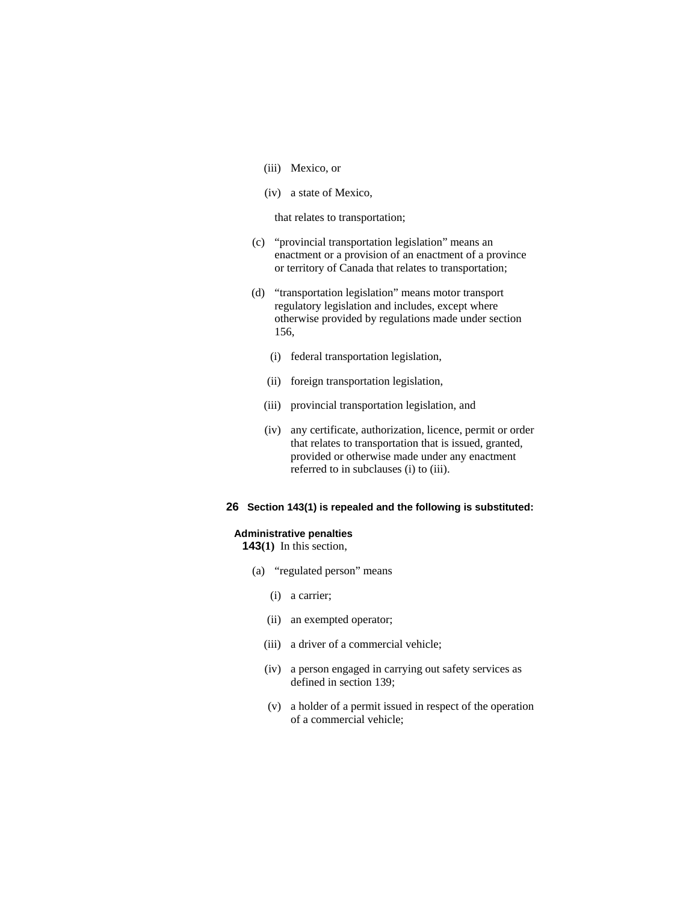- (iii) Mexico, or
- (iv) a state of Mexico,

that relates to transportation;

- (c) "provincial transportation legislation" means an enactment or a provision of an enactment of a province or territory of Canada that relates to transportation;
- (d) "transportation legislation" means motor transport regulatory legislation and includes, except where otherwise provided by regulations made under section 156,
	- (i) federal transportation legislation,
	- (ii) foreign transportation legislation,
	- (iii) provincial transportation legislation, and
	- (iv) any certificate, authorization, licence, permit or order that relates to transportation that is issued, granted, provided or otherwise made under any enactment referred to in subclauses (i) to (iii).

### **26 Section 143(1) is repealed and the following is substituted:**

#### **Administrative penalties**

**143(1)** In this section,

- (a) "regulated person" means
	- (i) a carrier;
	- (ii) an exempted operator;
	- (iii) a driver of a commercial vehicle;
	- (iv) a person engaged in carrying out safety services as defined in section 139;
	- (v) a holder of a permit issued in respect of the operation of a commercial vehicle;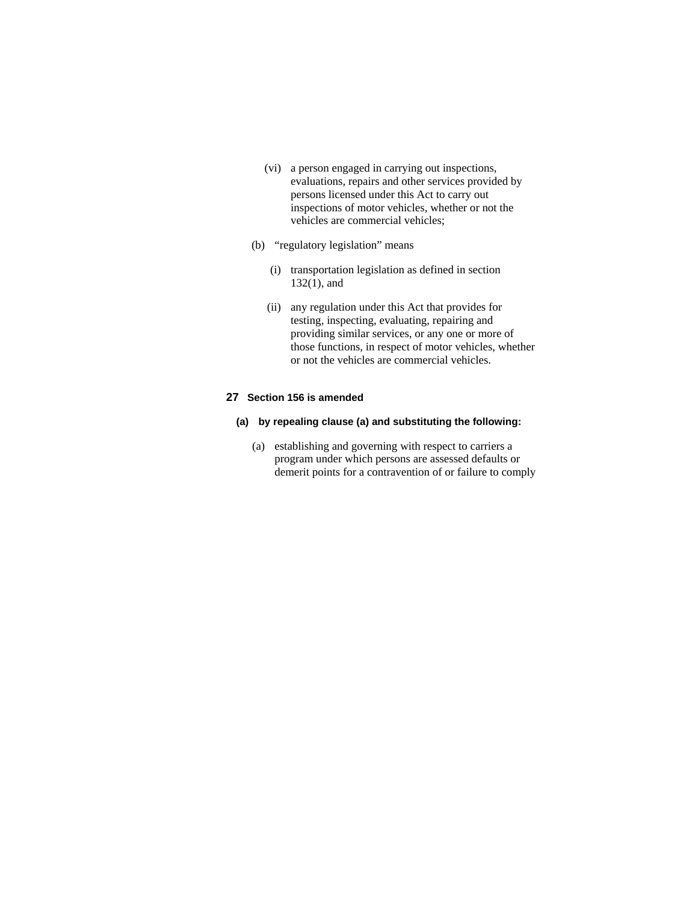- (vi) a person engaged in carrying out inspections, evaluations, repairs and other services provided by persons licensed under this Act to carry out inspections of motor vehicles, whether or not the vehicles are commercial vehicles;
- (b) "regulatory legislation" means
	- (i) transportation legislation as defined in section 132(1), and
	- (ii) any regulation under this Act that provides for testing, inspecting, evaluating, repairing and providing similar services, or any one or more of those functions, in respect of motor vehicles, whether or not the vehicles are commercial vehicles.

### **27 Section 156 is amended**

- **(a) by repealing clause (a) and substituting the following:** 
	- (a) establishing and governing with respect to carriers a program under which persons are assessed defaults or demerit points for a contravention of or failure to comply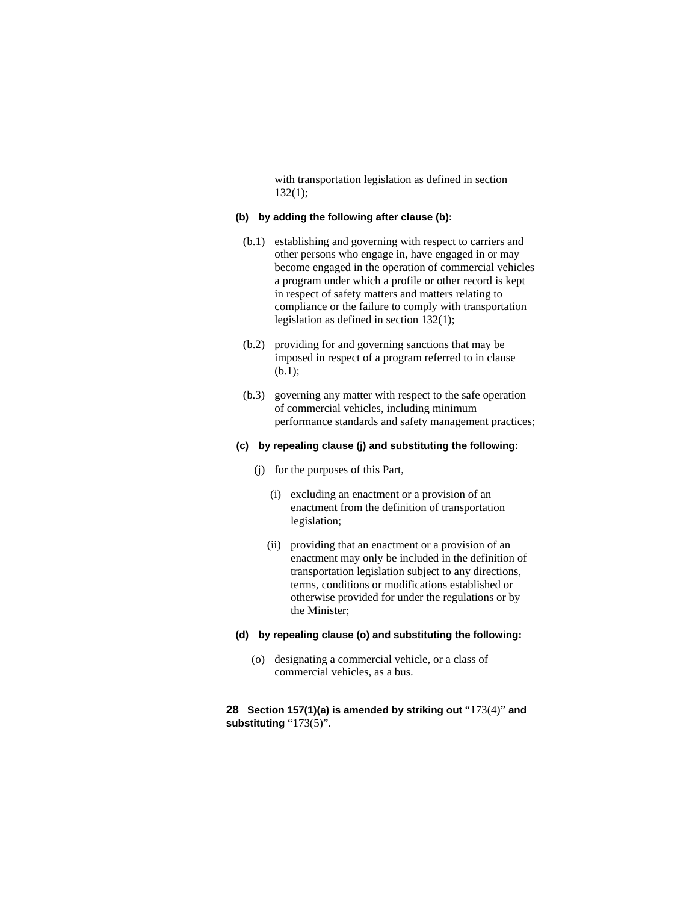with transportation legislation as defined in section  $132(1);$ 

#### **(b) by adding the following after clause (b):**

- (b.1) establishing and governing with respect to carriers and other persons who engage in, have engaged in or may become engaged in the operation of commercial vehicles a program under which a profile or other record is kept in respect of safety matters and matters relating to compliance or the failure to comply with transportation legislation as defined in section 132(1);
- (b.2) providing for and governing sanctions that may be imposed in respect of a program referred to in clause (b.1);
- (b.3) governing any matter with respect to the safe operation of commercial vehicles, including minimum performance standards and safety management practices;

### **(c) by repealing clause (j) and substituting the following:**

- (j) for the purposes of this Part,
	- (i) excluding an enactment or a provision of an enactment from the definition of transportation legislation;
	- (ii) providing that an enactment or a provision of an enactment may only be included in the definition of transportation legislation subject to any directions, terms, conditions or modifications established or otherwise provided for under the regulations or by the Minister;

#### **(d) by repealing clause (o) and substituting the following:**

 (o) designating a commercial vehicle, or a class of commercial vehicles, as a bus.

### **28 Section 157(1)(a) is amended by striking out** "173(4)" **and substituting** "173(5)".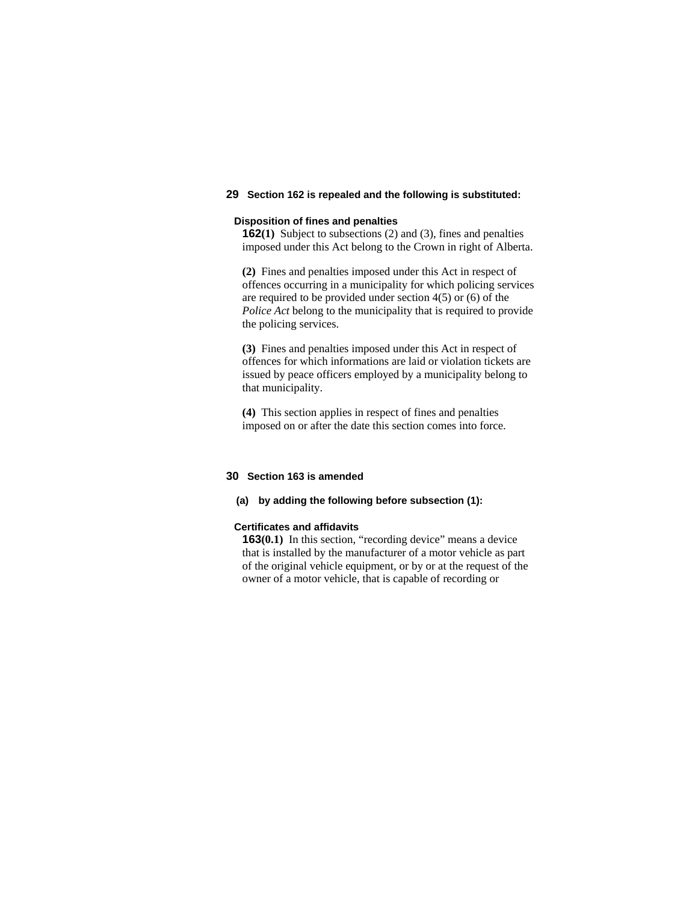### **29 Section 162 is repealed and the following is substituted:**

#### **Disposition of fines and penalties**

**162(1)** Subject to subsections (2) and (3), fines and penalties imposed under this Act belong to the Crown in right of Alberta.

**(2)** Fines and penalties imposed under this Act in respect of offences occurring in a municipality for which policing services are required to be provided under section 4(5) or (6) of the *Police Act* belong to the municipality that is required to provide the policing services.

**(3)** Fines and penalties imposed under this Act in respect of offences for which informations are laid or violation tickets are issued by peace officers employed by a municipality belong to that municipality.

**(4)** This section applies in respect of fines and penalties imposed on or after the date this section comes into force.

### **30 Section 163 is amended**

### **(a) by adding the following before subsection (1):**

#### **Certificates and affidavits**

**163(0.1)** In this section, "recording device" means a device that is installed by the manufacturer of a motor vehicle as part of the original vehicle equipment, or by or at the request of the owner of a motor vehicle, that is capable of recording or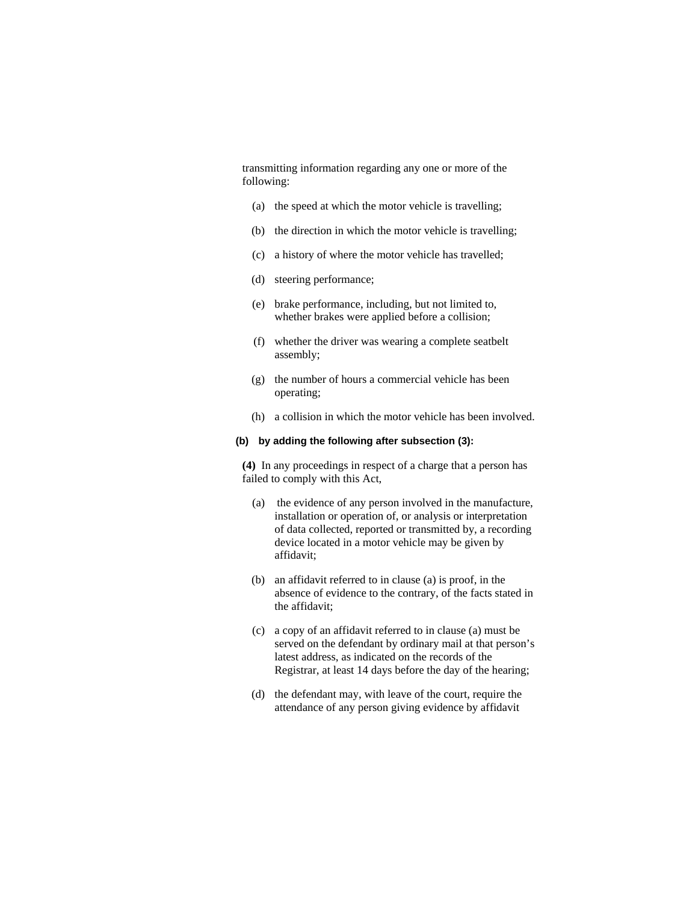transmitting information regarding any one or more of the following:

- (a) the speed at which the motor vehicle is travelling;
- (b) the direction in which the motor vehicle is travelling;
- (c) a history of where the motor vehicle has travelled;
- (d) steering performance;
- (e) brake performance, including, but not limited to, whether brakes were applied before a collision;
- (f) whether the driver was wearing a complete seatbelt assembly;
- (g) the number of hours a commercial vehicle has been operating;
- (h) a collision in which the motor vehicle has been involved.

### **(b) by adding the following after subsection (3):**

**(4)** In any proceedings in respect of a charge that a person has failed to comply with this Act,

- (a) the evidence of any person involved in the manufacture, installation or operation of, or analysis or interpretation of data collected, reported or transmitted by, a recording device located in a motor vehicle may be given by affidavit;
- (b) an affidavit referred to in clause (a) is proof, in the absence of evidence to the contrary, of the facts stated in the affidavit;
- (c) a copy of an affidavit referred to in clause (a) must be served on the defendant by ordinary mail at that person's latest address, as indicated on the records of the Registrar, at least 14 days before the day of the hearing;
- (d) the defendant may, with leave of the court, require the attendance of any person giving evidence by affidavit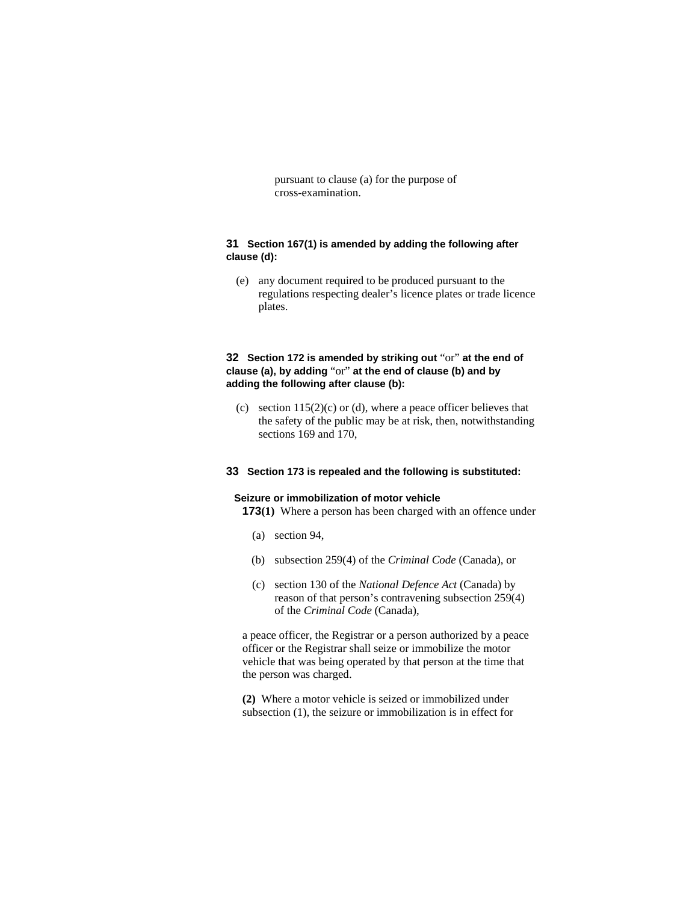pursuant to clause (a) for the purpose of cross-examination.

### **31 Section 167(1) is amended by adding the following after clause (d):**

 (e) any document required to be produced pursuant to the regulations respecting dealer's licence plates or trade licence plates.

### **32 Section 172 is amended by striking out** "or" **at the end of clause (a), by adding** "or" **at the end of clause (b) and by adding the following after clause (b):**

(c) section  $115(2)(c)$  or (d), where a peace officer believes that the safety of the public may be at risk, then, notwithstanding sections 169 and 170,

#### **33 Section 173 is repealed and the following is substituted:**

#### **Seizure or immobilization of motor vehicle**

**173(1)** Where a person has been charged with an offence under

- (a) section 94,
- (b) subsection 259(4) of the *Criminal Code* (Canada), or
- (c) section 130 of the *National Defence Act* (Canada) by reason of that person's contravening subsection 259(4) of the *Criminal Code* (Canada),

a peace officer, the Registrar or a person authorized by a peace officer or the Registrar shall seize or immobilize the motor vehicle that was being operated by that person at the time that the person was charged.

**(2)** Where a motor vehicle is seized or immobilized under subsection (1), the seizure or immobilization is in effect for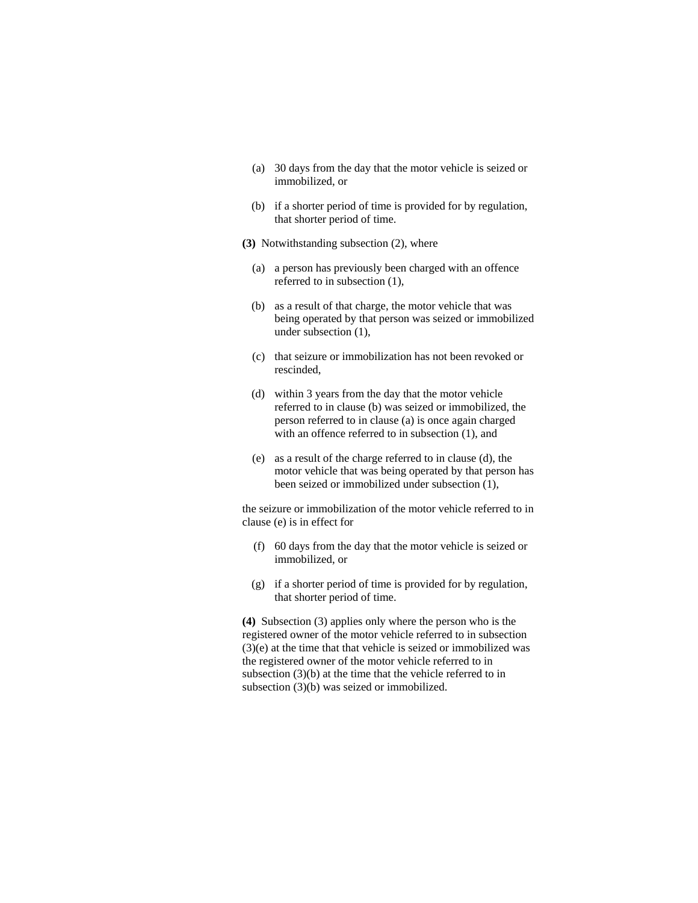- (a) 30 days from the day that the motor vehicle is seized or immobilized, or
- (b) if a shorter period of time is provided for by regulation, that shorter period of time.
- **(3)** Notwithstanding subsection (2), where
	- (a) a person has previously been charged with an offence referred to in subsection (1),
	- (b) as a result of that charge, the motor vehicle that was being operated by that person was seized or immobilized under subsection (1),
	- (c) that seizure or immobilization has not been revoked or rescinded,
	- (d) within 3 years from the day that the motor vehicle referred to in clause (b) was seized or immobilized, the person referred to in clause (a) is once again charged with an offence referred to in subsection (1), and
	- (e) as a result of the charge referred to in clause (d), the motor vehicle that was being operated by that person has been seized or immobilized under subsection (1),

the seizure or immobilization of the motor vehicle referred to in clause (e) is in effect for

- (f) 60 days from the day that the motor vehicle is seized or immobilized, or
- (g) if a shorter period of time is provided for by regulation, that shorter period of time.

**(4)** Subsection (3) applies only where the person who is the registered owner of the motor vehicle referred to in subsection (3)(e) at the time that that vehicle is seized or immobilized was the registered owner of the motor vehicle referred to in subsection (3)(b) at the time that the vehicle referred to in subsection (3)(b) was seized or immobilized.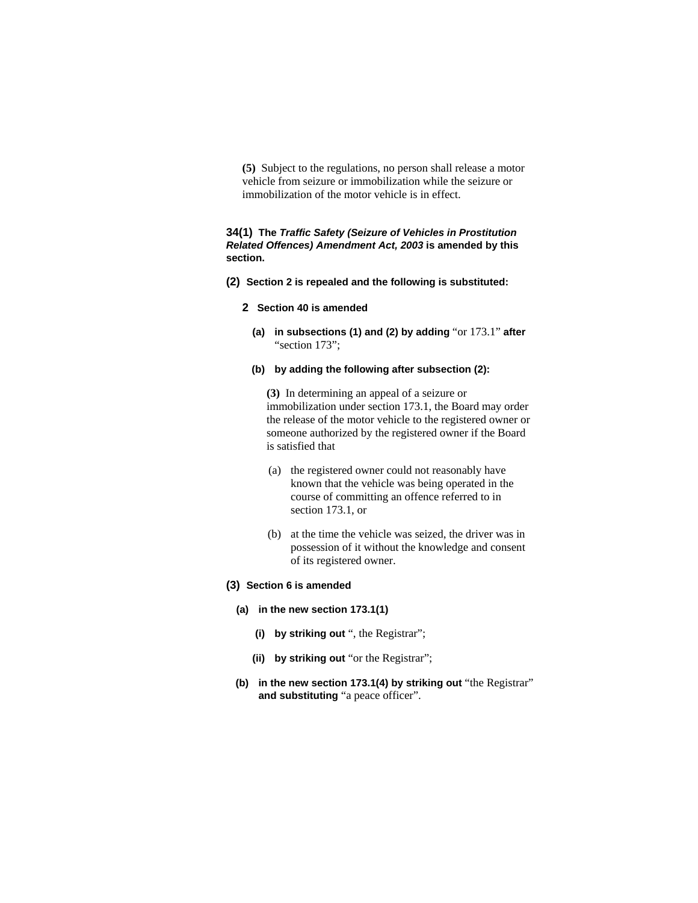**(5)** Subject to the regulations, no person shall release a motor vehicle from seizure or immobilization while the seizure or immobilization of the motor vehicle is in effect.

### **34(1) The** *Traffic Safety (Seizure of Vehicles in Prostitution Related Offences) Amendment Act, 2003* **is amended by this section.**

- **(2) Section 2 is repealed and the following is substituted:**
	- **2 Section 40 is amended**
		- **(a) in subsections (1) and (2) by adding** "or 173.1" **after** "section 173";
		- **(b) by adding the following after subsection (2):**

**(3)** In determining an appeal of a seizure or immobilization under section 173.1, the Board may order the release of the motor vehicle to the registered owner or someone authorized by the registered owner if the Board is satisfied that

- (a) the registered owner could not reasonably have known that the vehicle was being operated in the course of committing an offence referred to in section 173.1, or
- (b) at the time the vehicle was seized, the driver was in possession of it without the knowledge and consent of its registered owner.
- **(3) Section 6 is amended** 
	- **(a) in the new section 173.1(1)** 
		- **(i) by striking out** ", the Registrar";
		- **(ii) by striking out** "or the Registrar";
	- **(b) in the new section 173.1(4) by striking out** "the Registrar" **and substituting** "a peace officer".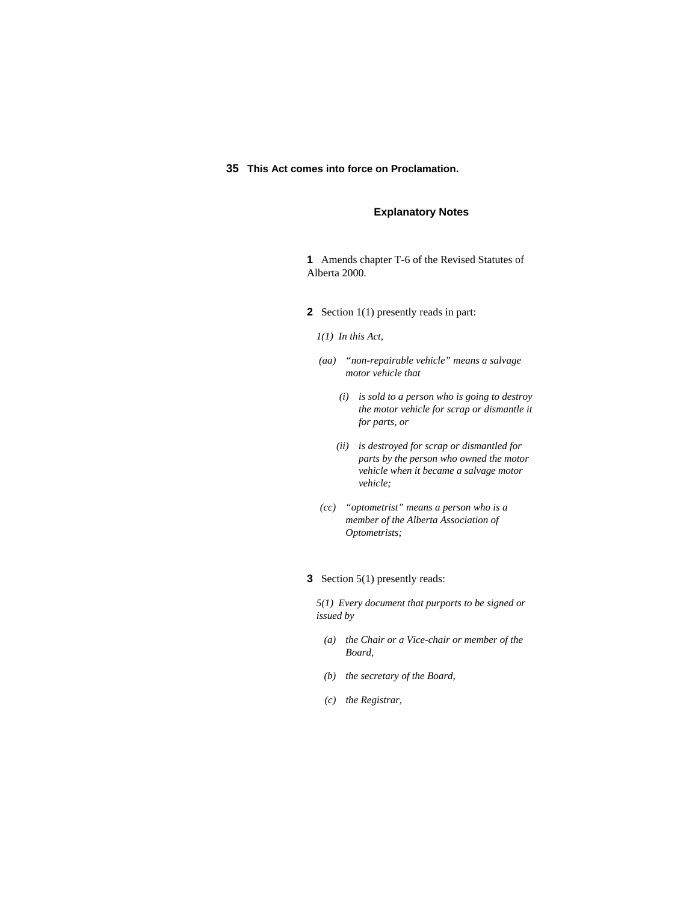### **35 This Act comes into force on Proclamation.**

### **Explanatory Notes**

**1** Amends chapter T-6 of the Revised Statutes of Alberta 2000.

- **2** Section 1(1) presently reads in part:
	- *1(1) In this Act,*
	- *(aa) "non-repairable vehicle" means a salvage motor vehicle that* 
		- *(i) is sold to a person who is going to destroy the motor vehicle for scrap or dismantle it for parts, or*
		- *(ii) is destroyed for scrap or dismantled for parts by the person who owned the motor vehicle when it became a salvage motor vehicle;*
	- *(cc) "optometrist" means a person who is a member of the Alberta Association of Optometrists;*
- **3** Section 5(1) presently reads:

*5(1) Every document that purports to be signed or issued by* 

- *(a) the Chair or a Vice-chair or member of the Board,*
- *(b) the secretary of the Board,*
- *(c) the Registrar,*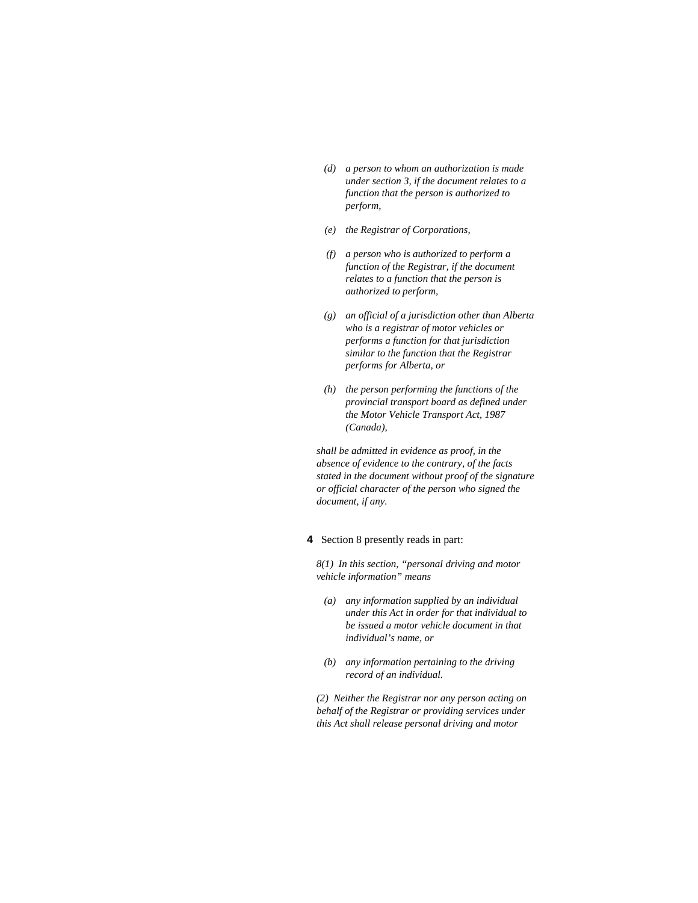- *(d) a person to whom an authorization is made under section 3, if the document relates to a function that the person is authorized to perform,*
- *(e) the Registrar of Corporations,*
- *(f) a person who is authorized to perform a function of the Registrar, if the document relates to a function that the person is authorized to perform,*
- *(g) an official of a jurisdiction other than Alberta who is a registrar of motor vehicles or performs a function for that jurisdiction similar to the function that the Registrar performs for Alberta, or*
- *(h) the person performing the functions of the provincial transport board as defined under the Motor Vehicle Transport Act, 1987 (Canada),*

*shall be admitted in evidence as proof, in the absence of evidence to the contrary, of the facts stated in the document without proof of the signature or official character of the person who signed the document, if any.* 

### **4** Section 8 presently reads in part:

*8(1) In this section, "personal driving and motor vehicle information" means* 

- *(a) any information supplied by an individual under this Act in order for that individual to be issued a motor vehicle document in that individual's name, or*
- *(b) any information pertaining to the driving record of an individual.*

*(2) Neither the Registrar nor any person acting on behalf of the Registrar or providing services under this Act shall release personal driving and motor*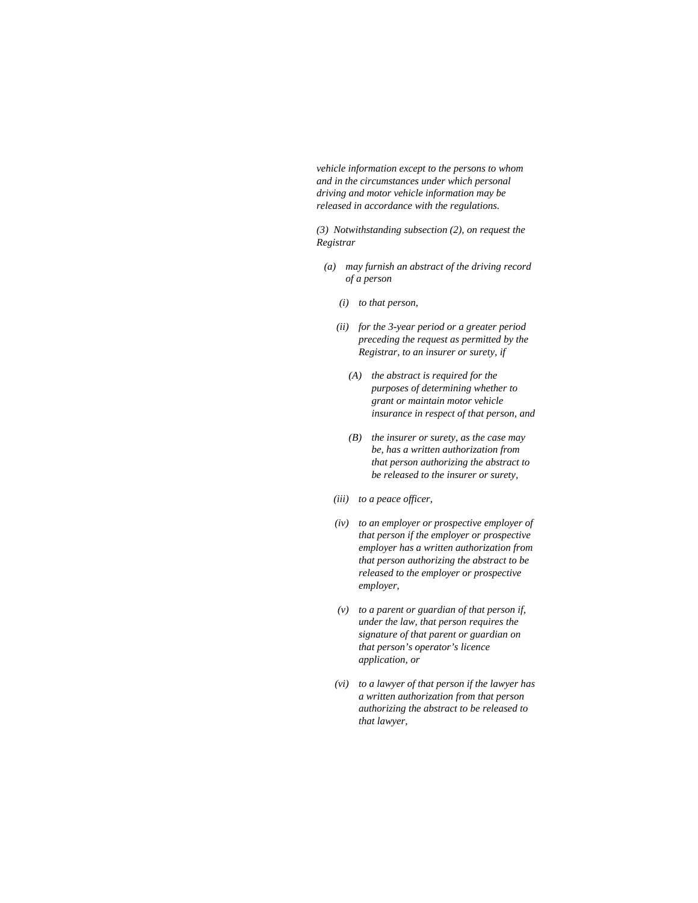*vehicle information except to the persons to whom and in the circumstances under which personal driving and motor vehicle information may be released in accordance with the regulations.* 

*(3) Notwithstanding subsection (2), on request the Registrar* 

- *(a) may furnish an abstract of the driving record of a person* 
	- *(i) to that person,*
	- *(ii) for the 3-year period or a greater period preceding the request as permitted by the Registrar, to an insurer or surety, if* 
		- *(A) the abstract is required for the purposes of determining whether to grant or maintain motor vehicle insurance in respect of that person, and*
		- *(B) the insurer or surety, as the case may be, has a written authorization from that person authorizing the abstract to be released to the insurer or surety,*
	- *(iii) to a peace officer,*
	- *(iv) to an employer or prospective employer of that person if the employer or prospective employer has a written authorization from that person authorizing the abstract to be released to the employer or prospective employer,*
	- *(v) to a parent or guardian of that person if, under the law, that person requires the signature of that parent or guardian on that person's operator's licence application, or*
	- *(vi) to a lawyer of that person if the lawyer has a written authorization from that person authorizing the abstract to be released to that lawyer,*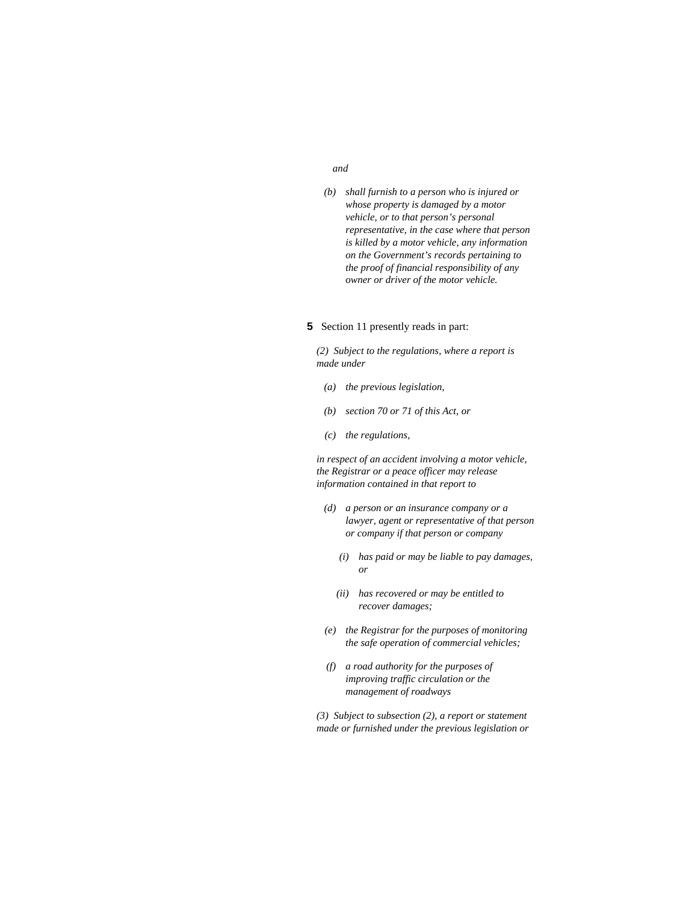#### *and*

 *(b) shall furnish to a person who is injured or whose property is damaged by a motor vehicle, or to that person's personal representative, in the case where that person is killed by a motor vehicle, any information on the Government's records pertaining to the proof of financial responsibility of any owner or driver of the motor vehicle.* 

### **5** Section 11 presently reads in part:

*(2) Subject to the regulations, where a report is made under* 

- *(a) the previous legislation,*
- *(b) section 70 or 71 of this Act, or*
- *(c) the regulations,*

*in respect of an accident involving a motor vehicle, the Registrar or a peace officer may release information contained in that report to* 

- *(d) a person or an insurance company or a lawyer, agent or representative of that person or company if that person or company* 
	- *(i) has paid or may be liable to pay damages, or*
	- *(ii) has recovered or may be entitled to recover damages;*
- *(e) the Registrar for the purposes of monitoring the safe operation of commercial vehicles;*
- *(f) a road authority for the purposes of improving traffic circulation or the management of roadways*

*(3) Subject to subsection (2), a report or statement made or furnished under the previous legislation or*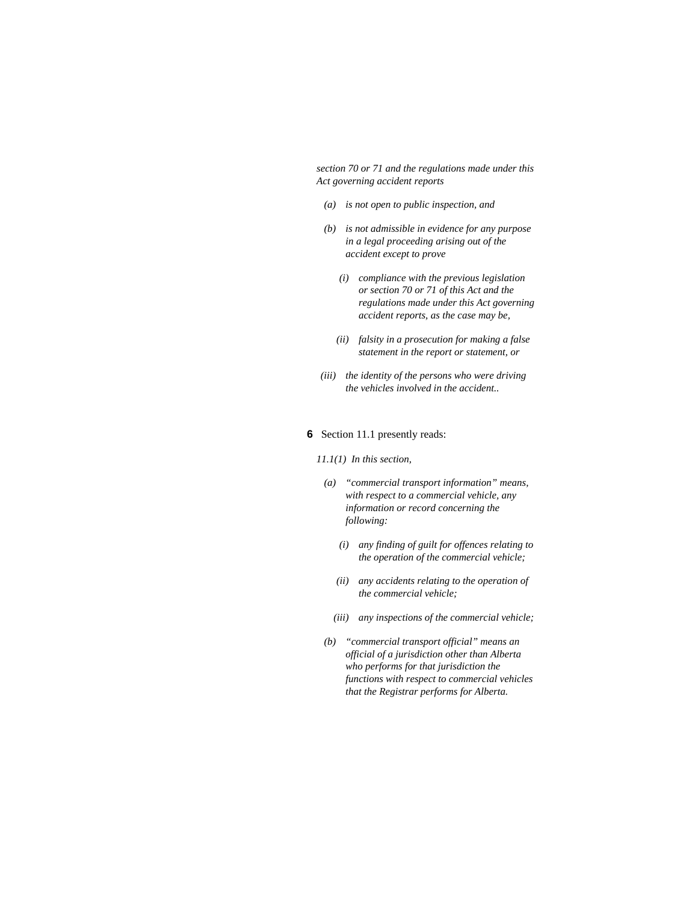*section 70 or 71 and the regulations made under this Act governing accident reports* 

- *(a) is not open to public inspection, and*
- *(b) is not admissible in evidence for any purpose in a legal proceeding arising out of the accident except to prove* 
	- *(i) compliance with the previous legislation or section 70 or 71 of this Act and the regulations made under this Act governing accident reports, as the case may be,*
	- *(ii) falsity in a prosecution for making a false statement in the report or statement, or*
- *(iii) the identity of the persons who were driving the vehicles involved in the accident..*

### **6** Section 11.1 presently reads:

*11.1(1) In this section,* 

- *(a) "commercial transport information" means, with respect to a commercial vehicle, any information or record concerning the following:* 
	- *(i) any finding of guilt for offences relating to the operation of the commercial vehicle;*
	- *(ii) any accidents relating to the operation of the commercial vehicle;*
	- *(iii) any inspections of the commercial vehicle;*
- *(b) "commercial transport official" means an official of a jurisdiction other than Alberta who performs for that jurisdiction the functions with respect to commercial vehicles that the Registrar performs for Alberta.*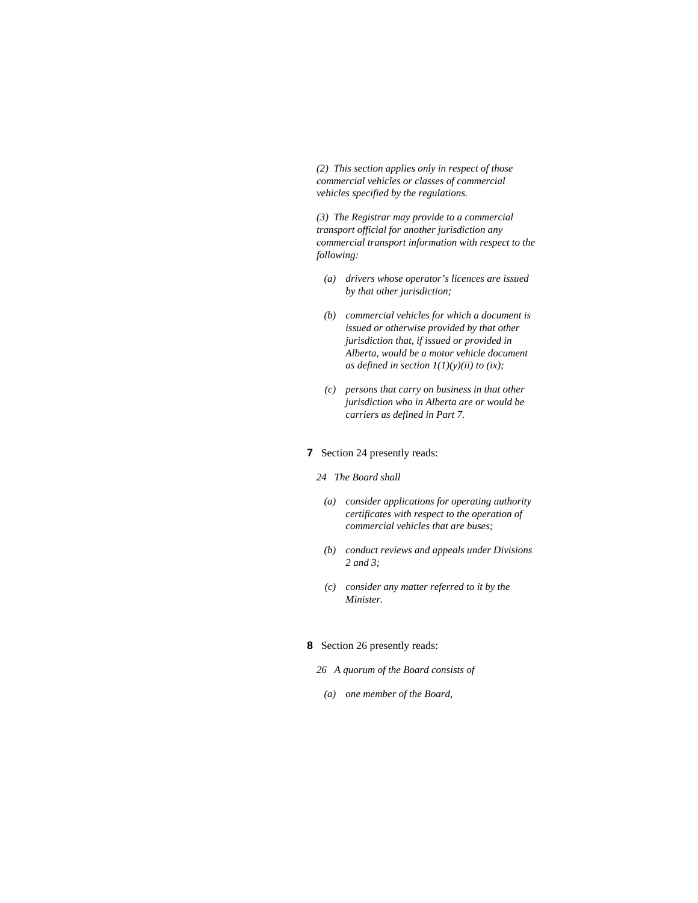*(2) This section applies only in respect of those commercial vehicles or classes of commercial vehicles specified by the regulations.* 

*(3) The Registrar may provide to a commercial transport official for another jurisdiction any commercial transport information with respect to the following:* 

- *(a) drivers whose operator's licences are issued by that other jurisdiction;*
- *(b) commercial vehicles for which a document is issued or otherwise provided by that other jurisdiction that, if issued or provided in Alberta, would be a motor vehicle document as defined in section 1(1)(y)(ii) to (ix);*
- *(c) persons that carry on business in that other jurisdiction who in Alberta are or would be carriers as defined in Part 7.*

### **7** Section 24 presently reads:

- *24 The Board shall* 
	- *(a) consider applications for operating authority certificates with respect to the operation of commercial vehicles that are buses;*
	- *(b) conduct reviews and appeals under Divisions 2 and 3;*
	- *(c) consider any matter referred to it by the Minister.*

### **8** Section 26 presently reads:

- *26 A quorum of the Board consists of*
- *(a) one member of the Board,*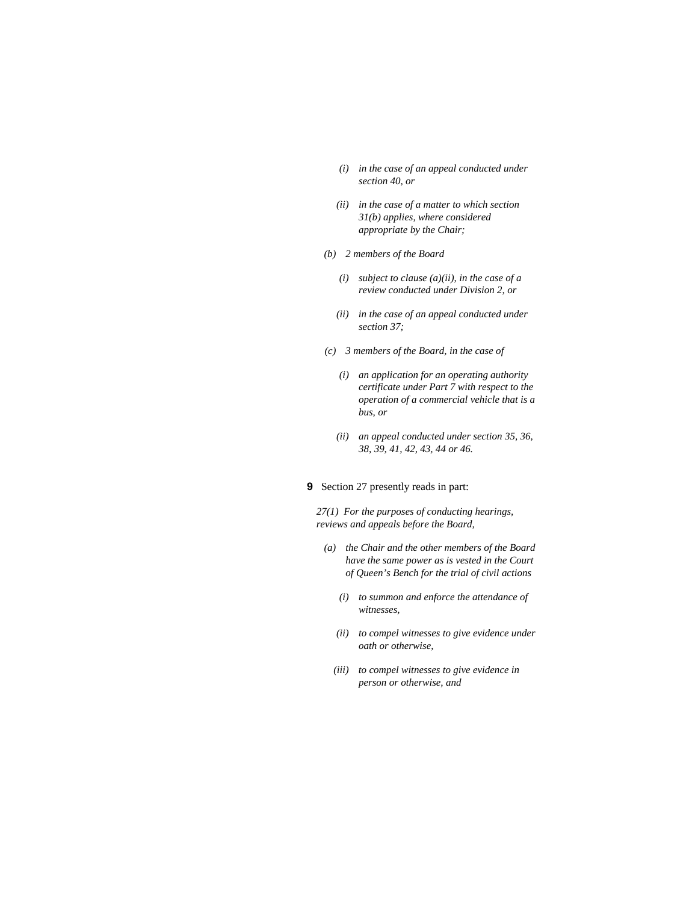- *(i) in the case of an appeal conducted under section 40, or*
- *(ii) in the case of a matter to which section 31(b) applies, where considered appropriate by the Chair;*
- *(b) 2 members of the Board* 
	- *(i) subject to clause (a)(ii), in the case of a review conducted under Division 2, or*
	- *(ii) in the case of an appeal conducted under section 37;*
- *(c) 3 members of the Board, in the case of* 
	- *(i) an application for an operating authority certificate under Part 7 with respect to the operation of a commercial vehicle that is a bus, or*
	- *(ii) an appeal conducted under section 35, 36, 38, 39, 41, 42, 43, 44 or 46.*
- **9** Section 27 presently reads in part:

*27(1) For the purposes of conducting hearings, reviews and appeals before the Board,* 

- *(a) the Chair and the other members of the Board have the same power as is vested in the Court of Queen's Bench for the trial of civil actions* 
	- *(i) to summon and enforce the attendance of witnesses,*
	- *(ii) to compel witnesses to give evidence under oath or otherwise,*
	- *(iii) to compel witnesses to give evidence in person or otherwise, and*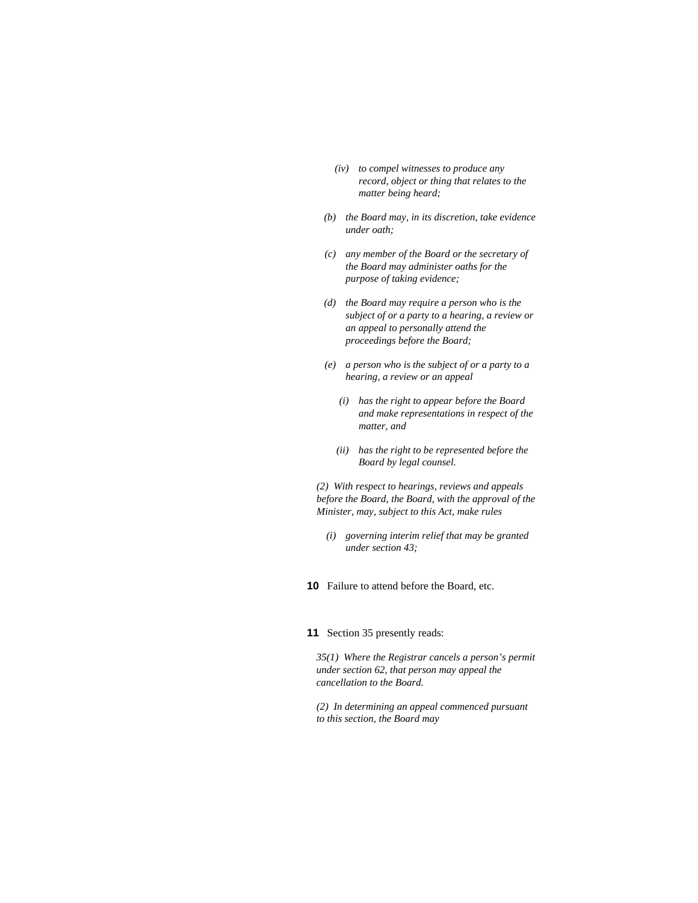- *(iv) to compel witnesses to produce any record, object or thing that relates to the matter being heard;*
- *(b) the Board may, in its discretion, take evidence under oath;*
- *(c) any member of the Board or the secretary of the Board may administer oaths for the purpose of taking evidence;*
- *(d) the Board may require a person who is the subject of or a party to a hearing, a review or an appeal to personally attend the proceedings before the Board;*
- *(e) a person who is the subject of or a party to a hearing, a review or an appeal* 
	- *(i) has the right to appear before the Board and make representations in respect of the matter, and*
	- *(ii) has the right to be represented before the Board by legal counsel.*

*(2) With respect to hearings, reviews and appeals before the Board, the Board, with the approval of the Minister, may, subject to this Act, make rules* 

- *(i) governing interim relief that may be granted under section 43;*
- **10** Failure to attend before the Board, etc.

### **11** Section 35 presently reads:

*35(1) Where the Registrar cancels a person's permit under section 62, that person may appeal the cancellation to the Board.* 

*(2) In determining an appeal commenced pursuant to this section, the Board may*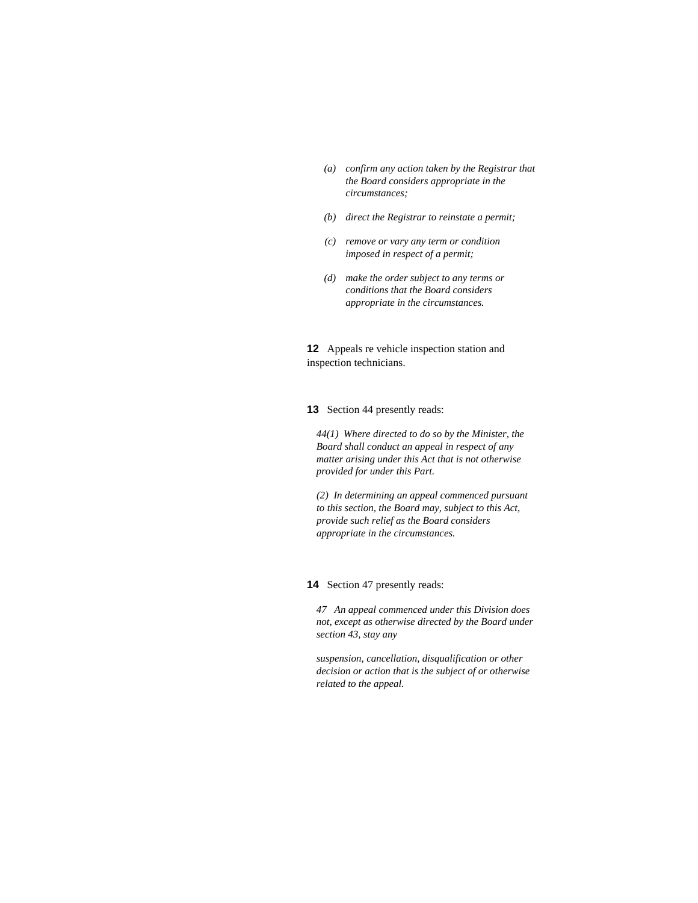- *(a) confirm any action taken by the Registrar that the Board considers appropriate in the circumstances;*
- *(b) direct the Registrar to reinstate a permit;*
- *(c) remove or vary any term or condition imposed in respect of a permit;*
- *(d) make the order subject to any terms or conditions that the Board considers appropriate in the circumstances.*

**12** Appeals re vehicle inspection station and inspection technicians.

**13** Section 44 presently reads:

*44(1) Where directed to do so by the Minister, the Board shall conduct an appeal in respect of any matter arising under this Act that is not otherwise provided for under this Part.* 

*(2) In determining an appeal commenced pursuant to this section, the Board may, subject to this Act, provide such relief as the Board considers appropriate in the circumstances.* 

### **14** Section 47 presently reads:

*47 An appeal commenced under this Division does not, except as otherwise directed by the Board under section 43, stay any* 

*suspension, cancellation, disqualification or other decision or action that is the subject of or otherwise related to the appeal.*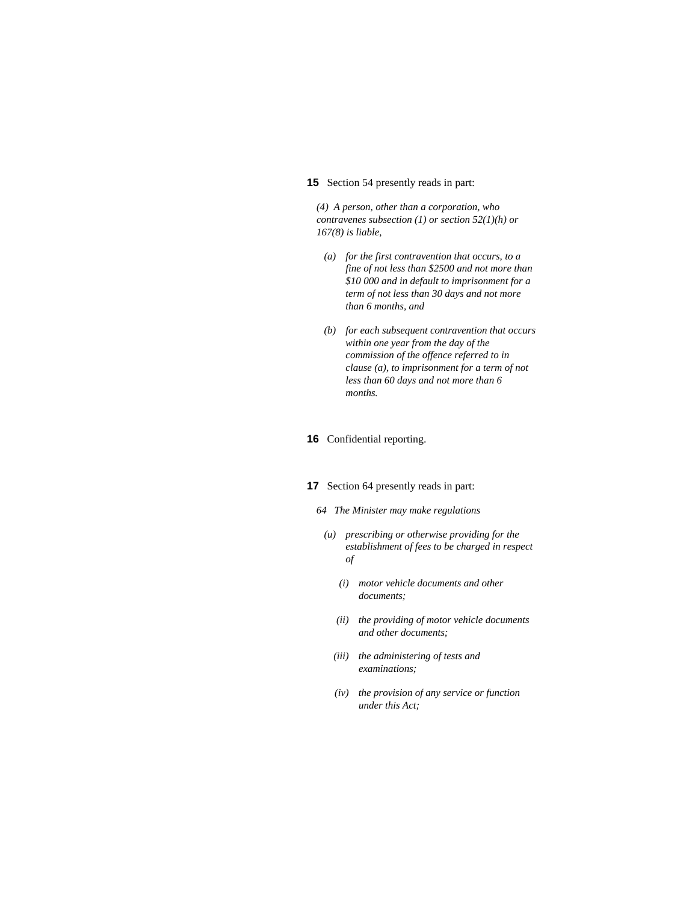#### **15** Section 54 presently reads in part:

*(4) A person, other than a corporation, who contravenes subsection (1) or section 52(1)(h) or 167(8) is liable,* 

- *(a) for the first contravention that occurs, to a fine of not less than \$2500 and not more than \$10 000 and in default to imprisonment for a term of not less than 30 days and not more than 6 months, and*
- *(b) for each subsequent contravention that occurs within one year from the day of the commission of the offence referred to in clause (a), to imprisonment for a term of not less than 60 days and not more than 6 months.*

### **16** Confidential reporting.

### **17** Section 64 presently reads in part:

- *64 The Minister may make regulations*
- *(u) prescribing or otherwise providing for the establishment of fees to be charged in respect of* 
	- *(i) motor vehicle documents and other documents;*
	- *(ii) the providing of motor vehicle documents and other documents;*
	- *(iii) the administering of tests and examinations;*
	- *(iv) the provision of any service or function under this Act;*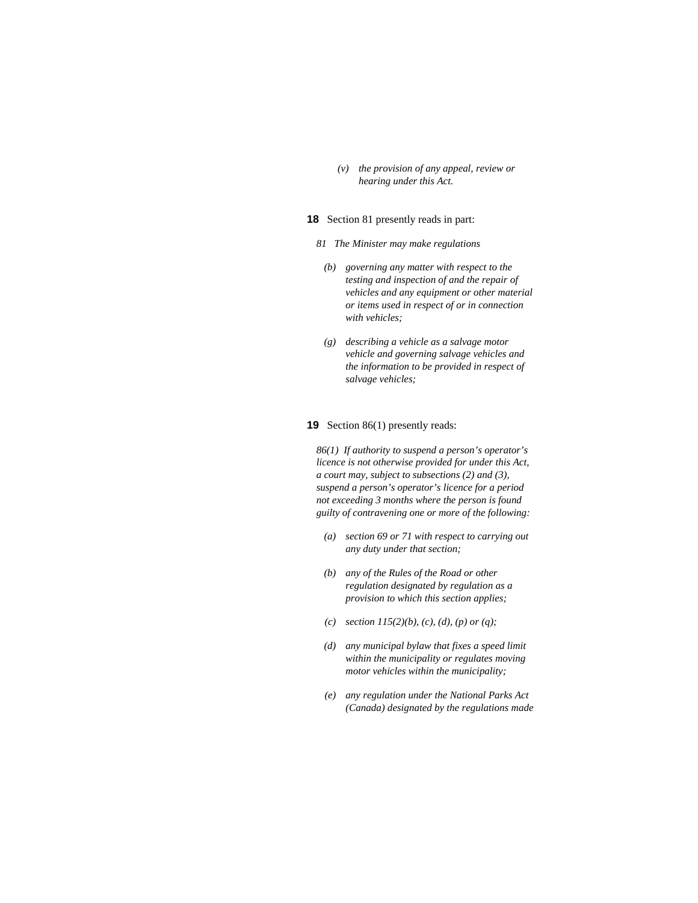*(v) the provision of any appeal, review or hearing under this Act.* 

### **18** Section 81 presently reads in part:

- *81 The Minister may make regulations* 
	- *(b) governing any matter with respect to the testing and inspection of and the repair of vehicles and any equipment or other material or items used in respect of or in connection with vehicles;*
	- *(g) describing a vehicle as a salvage motor vehicle and governing salvage vehicles and the information to be provided in respect of salvage vehicles;*

#### **19** Section 86(1) presently reads:

*86(1) If authority to suspend a person's operator's licence is not otherwise provided for under this Act, a court may, subject to subsections (2) and (3), suspend a person's operator's licence for a period not exceeding 3 months where the person is found guilty of contravening one or more of the following:* 

- *(a) section 69 or 71 with respect to carrying out any duty under that section;*
- *(b) any of the Rules of the Road or other regulation designated by regulation as a provision to which this section applies;*
- *(c) section 115(2)(b), (c), (d), (p) or (q);*
- *(d) any municipal bylaw that fixes a speed limit within the municipality or regulates moving motor vehicles within the municipality;*
- *(e) any regulation under the National Parks Act (Canada) designated by the regulations made*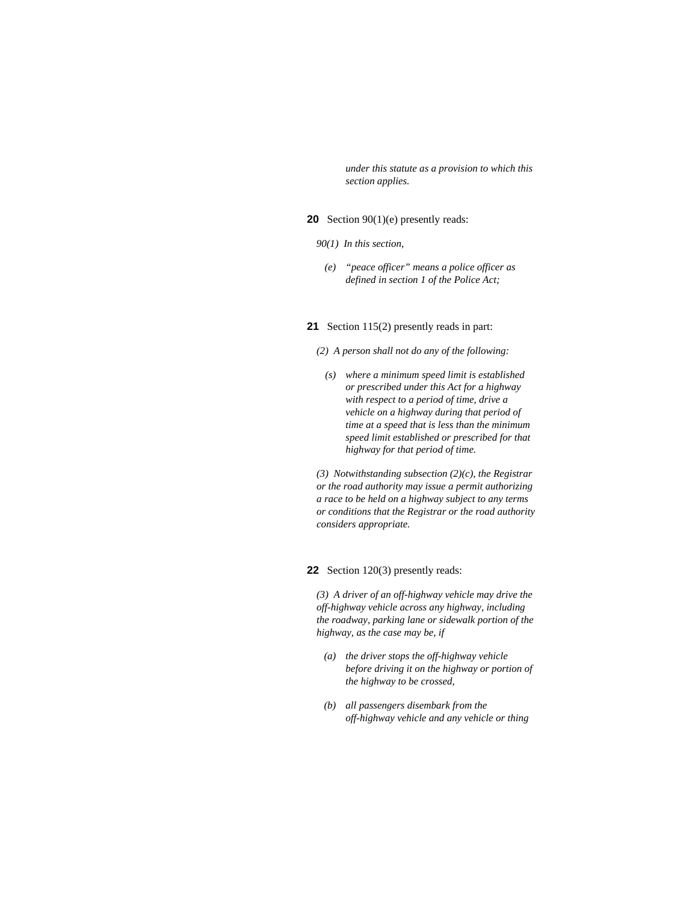*under this statute as a provision to which this section applies.* 

### **20** Section 90(1)(e) presently reads:

- *90(1) In this section,*
- *(e) "peace officer" means a police officer as defined in section 1 of the Police Act;*

### **21** Section 115(2) presently reads in part:

*(2) A person shall not do any of the following:* 

 *(s) where a minimum speed limit is established or prescribed under this Act for a highway with respect to a period of time, drive a vehicle on a highway during that period of time at a speed that is less than the minimum speed limit established or prescribed for that highway for that period of time.* 

*(3) Notwithstanding subsection (2)(c), the Registrar or the road authority may issue a permit authorizing a race to be held on a highway subject to any terms or conditions that the Registrar or the road authority considers appropriate.* 

**22** Section 120(3) presently reads:

*(3) A driver of an off-highway vehicle may drive the off-highway vehicle across any highway, including the roadway, parking lane or sidewalk portion of the highway, as the case may be, if* 

- *(a) the driver stops the off-highway vehicle before driving it on the highway or portion of the highway to be crossed,*
- *(b) all passengers disembark from the off-highway vehicle and any vehicle or thing*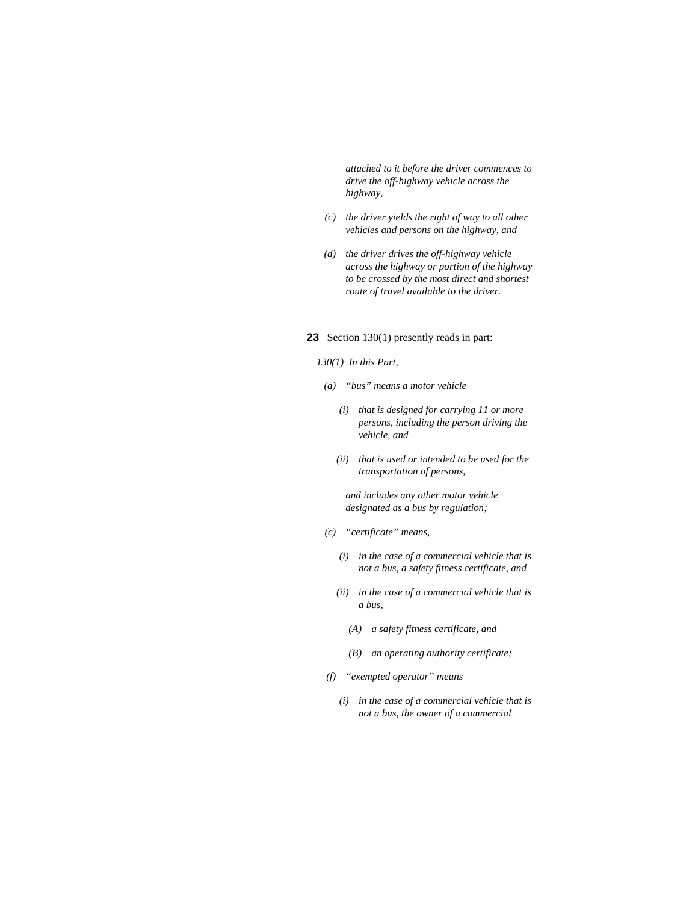*attached to it before the driver commences to drive the off-highway vehicle across the highway,* 

- *(c) the driver yields the right of way to all other vehicles and persons on the highway, and*
- *(d) the driver drives the off-highway vehicle across the highway or portion of the highway to be crossed by the most direct and shortest route of travel available to the driver.*

### **23** Section 130(1) presently reads in part:

#### *130(1) In this Part,*

- *(a) "bus" means a motor vehicle* 
	- *(i) that is designed for carrying 11 or more persons, including the person driving the vehicle, and*
	- *(ii) that is used or intended to be used for the transportation of persons,*

 *and includes any other motor vehicle designated as a bus by regulation;* 

- *(c) "certificate" means,* 
	- *(i) in the case of a commercial vehicle that is not a bus, a safety fitness certificate, and*
	- *(ii) in the case of a commercial vehicle that is a bus,* 
		- *(A) a safety fitness certificate, and*
		- *(B) an operating authority certificate;*
- *(f) "exempted operator" means* 
	- *(i) in the case of a commercial vehicle that is not a bus, the owner of a commercial*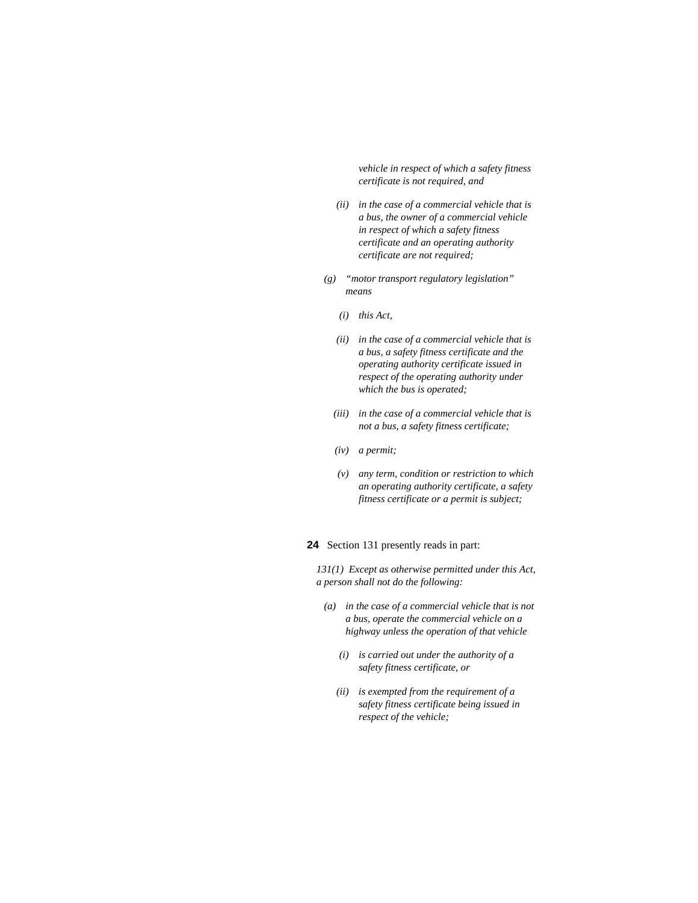*vehicle in respect of which a safety fitness certificate is not required, and* 

- *(ii) in the case of a commercial vehicle that is a bus, the owner of a commercial vehicle in respect of which a safety fitness certificate and an operating authority certificate are not required;*
- *(g) "motor transport regulatory legislation" means* 
	- *(i) this Act,*
	- *(ii) in the case of a commercial vehicle that is a bus, a safety fitness certificate and the operating authority certificate issued in respect of the operating authority under which the bus is operated;*
	- *(iii) in the case of a commercial vehicle that is not a bus, a safety fitness certificate;*
	- *(iv) a permit;*
	- *(v) any term, condition or restriction to which an operating authority certificate, a safety fitness certificate or a permit is subject;*

### **24** Section 131 presently reads in part:

*131(1) Except as otherwise permitted under this Act, a person shall not do the following:* 

- *(a) in the case of a commercial vehicle that is not a bus, operate the commercial vehicle on a highway unless the operation of that vehicle* 
	- *(i) is carried out under the authority of a safety fitness certificate, or*
	- *(ii) is exempted from the requirement of a safety fitness certificate being issued in respect of the vehicle;*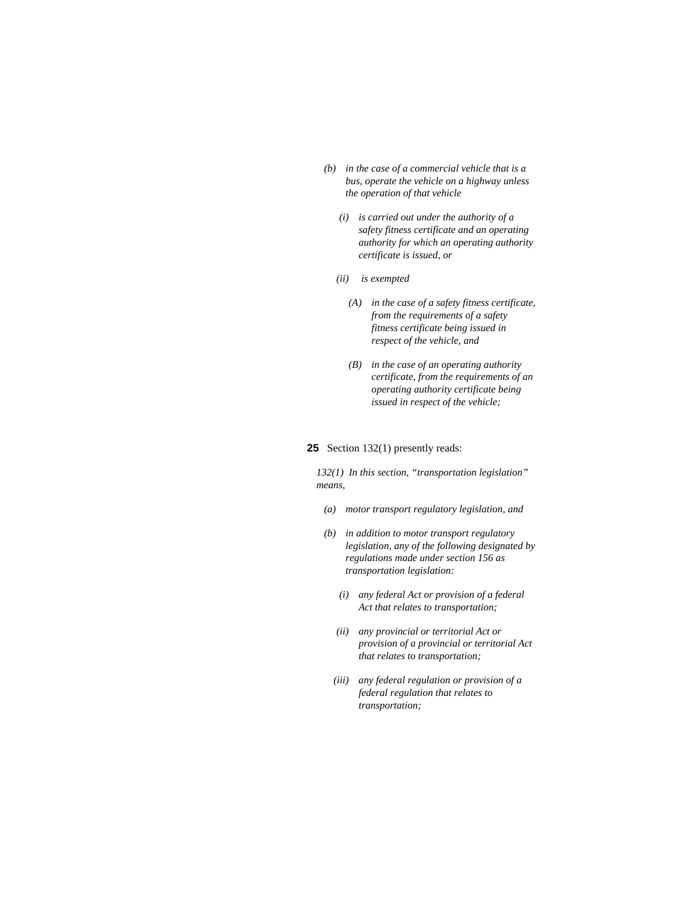- *(b) in the case of a commercial vehicle that is a bus, operate the vehicle on a highway unless the operation of that vehicle* 
	- *(i) is carried out under the authority of a safety fitness certificate and an operating authority for which an operating authority certificate is issued, or*
	- *(ii) is exempted* 
		- *(A) in the case of a safety fitness certificate, from the requirements of a safety fitness certificate being issued in respect of the vehicle, and*
		- *(B) in the case of an operating authority certificate, from the requirements of an operating authority certificate being issued in respect of the vehicle;*

#### **25** Section 132(1) presently reads:

*132(1) In this section, "transportation legislation" means,* 

- *(a) motor transport regulatory legislation, and*
- *(b) in addition to motor transport regulatory legislation, any of the following designated by regulations made under section 156 as transportation legislation:* 
	- *(i) any federal Act or provision of a federal Act that relates to transportation;*
	- *(ii) any provincial or territorial Act or provision of a provincial or territorial Act that relates to transportation;*
	- *(iii) any federal regulation or provision of a federal regulation that relates to transportation;*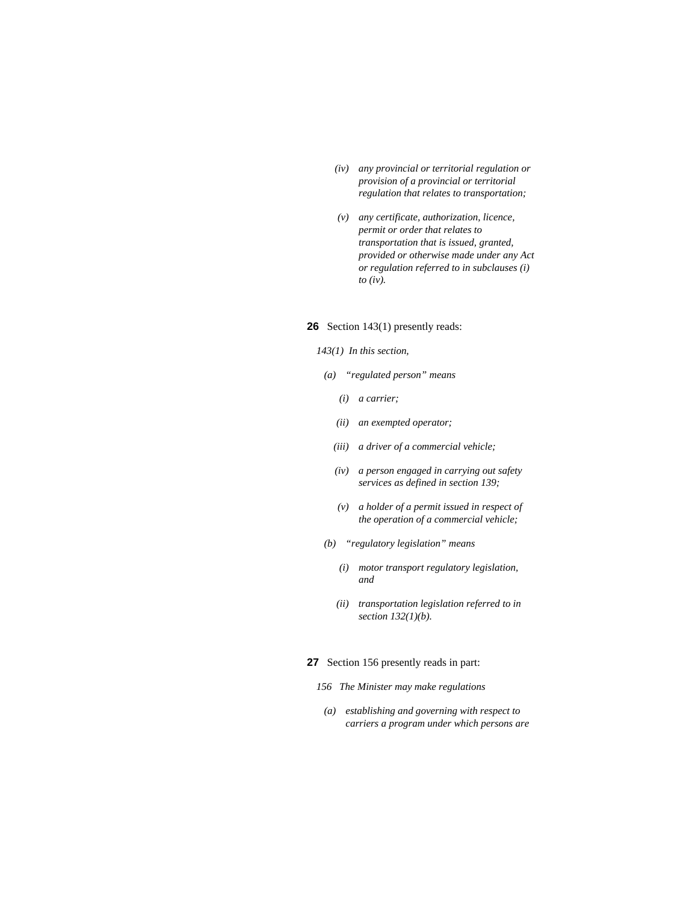- *(iv) any provincial or territorial regulation or provision of a provincial or territorial regulation that relates to transportation;*
- *(v) any certificate, authorization, licence, permit or order that relates to transportation that is issued, granted, provided or otherwise made under any Act or regulation referred to in subclauses (i) to (iv).*

### **26** Section 143(1) presently reads:

#### *143(1) In this section,*

- *(a) "regulated person" means* 
	- *(i) a carrier;*
	- *(ii) an exempted operator;*
	- *(iii) a driver of a commercial vehicle;*
	- *(iv) a person engaged in carrying out safety services as defined in section 139;*
	- *(v) a holder of a permit issued in respect of the operation of a commercial vehicle;*
- *(b) "regulatory legislation" means* 
	- *(i) motor transport regulatory legislation, and*
	- *(ii) transportation legislation referred to in section 132(1)(b).*

#### **27** Section 156 presently reads in part:

- *156 The Minister may make regulations*
- *(a) establishing and governing with respect to carriers a program under which persons are*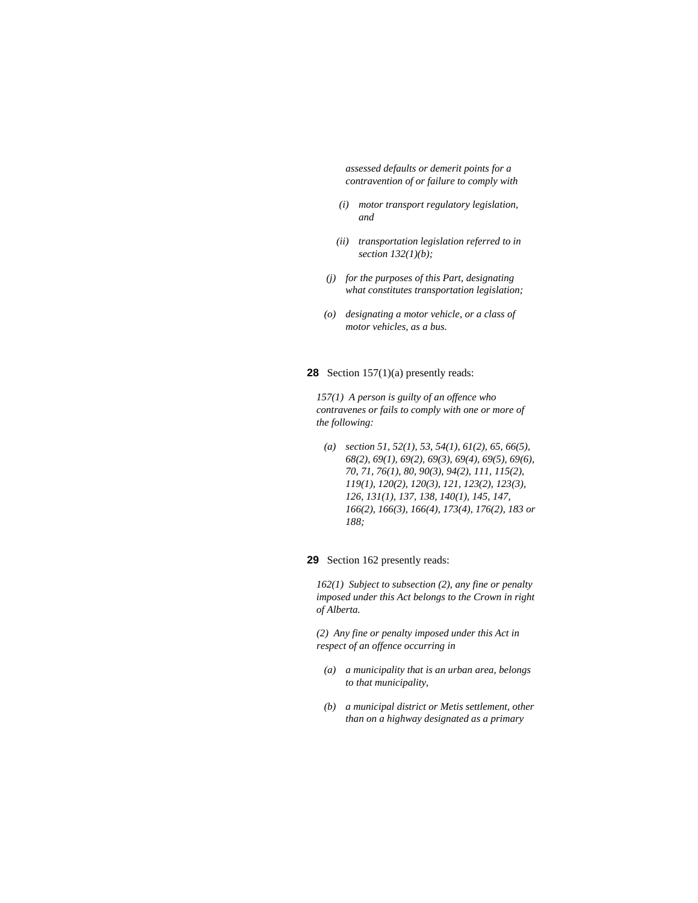*assessed defaults or demerit points for a contravention of or failure to comply with* 

- *(i) motor transport regulatory legislation, and*
- *(ii) transportation legislation referred to in section 132(1)(b);*
- *(j) for the purposes of this Part, designating what constitutes transportation legislation;*
- *(o) designating a motor vehicle, or a class of motor vehicles, as a bus.*

#### **28** Section 157(1)(a) presently reads:

*157(1) A person is guilty of an offence who contravenes or fails to comply with one or more of the following:* 

 *(a) section 51, 52(1), 53, 54(1), 61(2), 65, 66(5), 68(2), 69(1), 69(2), 69(3), 69(4), 69(5), 69(6), 70, 71, 76(1), 80, 90(3), 94(2), 111, 115(2), 119(1), 120(2), 120(3), 121, 123(2), 123(3), 126, 131(1), 137, 138, 140(1), 145, 147, 166(2), 166(3), 166(4), 173(4), 176(2), 183 or 188;* 

### **29** Section 162 presently reads:

*162(1) Subject to subsection (2), any fine or penalty imposed under this Act belongs to the Crown in right of Alberta.* 

*(2) Any fine or penalty imposed under this Act in respect of an offence occurring in* 

- *(a) a municipality that is an urban area, belongs to that municipality,*
- *(b) a municipal district or Metis settlement, other than on a highway designated as a primary*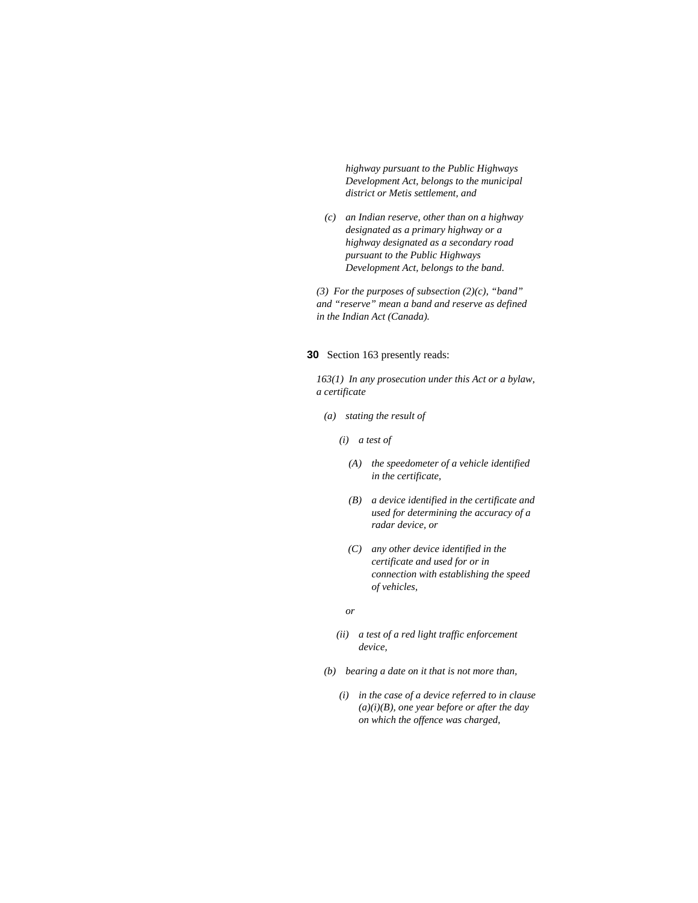*highway pursuant to the Public Highways Development Act, belongs to the municipal district or Metis settlement, and* 

 *(c) an Indian reserve, other than on a highway designated as a primary highway or a highway designated as a secondary road pursuant to the Public Highways Development Act, belongs to the band.* 

*(3) For the purposes of subsection (2)(c), "band" and "reserve" mean a band and reserve as defined in the Indian Act (Canada).* 

**30** Section 163 presently reads:

*163(1) In any prosecution under this Act or a bylaw, a certificate* 

 *(a) stating the result of* 

 *(i) a test of* 

- *(A) the speedometer of a vehicle identified in the certificate,*
- *(B) a device identified in the certificate and used for determining the accuracy of a radar device, or*
- *(C) any other device identified in the certificate and used for or in connection with establishing the speed of vehicles,*

 *or* 

- *(ii) a test of a red light traffic enforcement device,*
- *(b) bearing a date on it that is not more than,* 
	- *(i) in the case of a device referred to in clause (a)(i)(B), one year before or after the day on which the offence was charged,*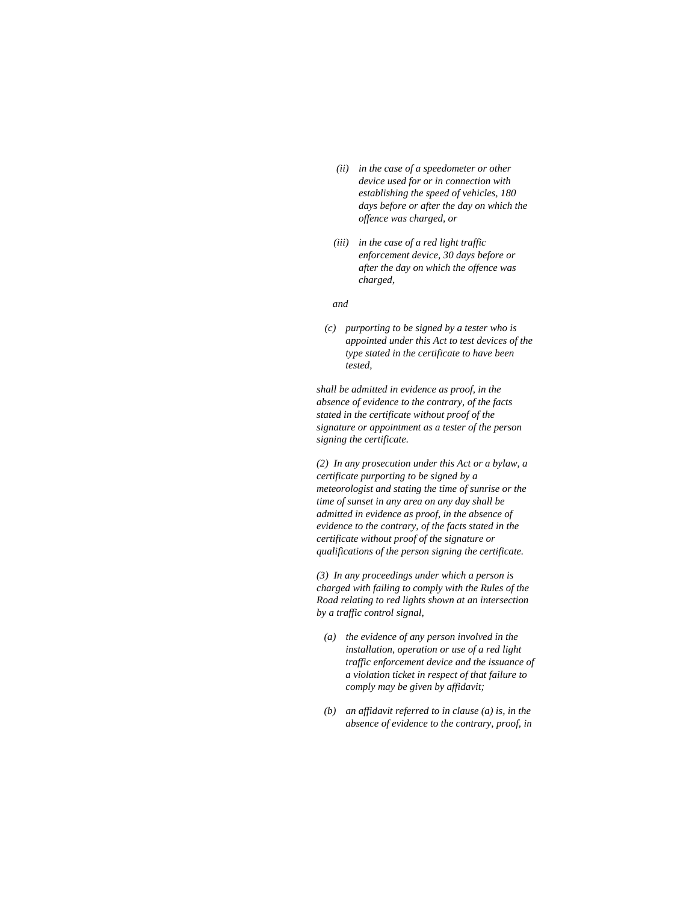- *(ii) in the case of a speedometer or other device used for or in connection with establishing the speed of vehicles, 180 days before or after the day on which the offence was charged, or*
- *(iii) in the case of a red light traffic enforcement device, 30 days before or after the day on which the offence was charged,*

#### *and*

 *(c) purporting to be signed by a tester who is appointed under this Act to test devices of the type stated in the certificate to have been tested,* 

*shall be admitted in evidence as proof, in the absence of evidence to the contrary, of the facts stated in the certificate without proof of the signature or appointment as a tester of the person signing the certificate.* 

*(2) In any prosecution under this Act or a bylaw, a certificate purporting to be signed by a meteorologist and stating the time of sunrise or the time of sunset in any area on any day shall be admitted in evidence as proof, in the absence of evidence to the contrary, of the facts stated in the certificate without proof of the signature or qualifications of the person signing the certificate.* 

*(3) In any proceedings under which a person is charged with failing to comply with the Rules of the Road relating to red lights shown at an intersection by a traffic control signal,* 

- *(a) the evidence of any person involved in the installation, operation or use of a red light traffic enforcement device and the issuance of a violation ticket in respect of that failure to comply may be given by affidavit;*
- *(b) an affidavit referred to in clause (a) is, in the absence of evidence to the contrary, proof, in*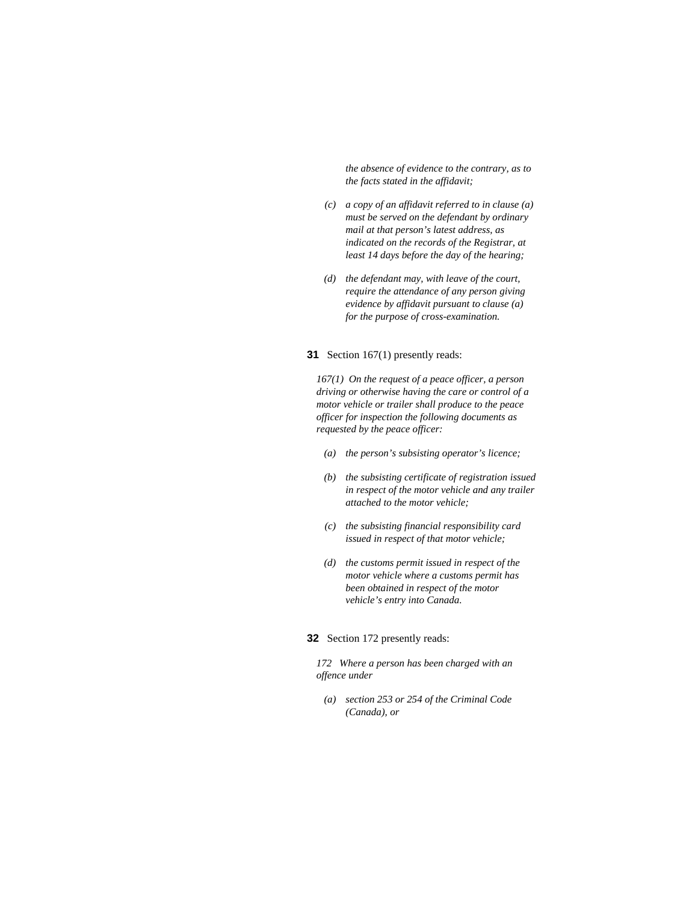*the absence of evidence to the contrary, as to the facts stated in the affidavit;* 

- *(c) a copy of an affidavit referred to in clause (a) must be served on the defendant by ordinary mail at that person's latest address, as indicated on the records of the Registrar, at least 14 days before the day of the hearing;*
- *(d) the defendant may, with leave of the court, require the attendance of any person giving evidence by affidavit pursuant to clause (a) for the purpose of cross-examination.*

#### **31** Section 167(1) presently reads:

*167(1) On the request of a peace officer, a person driving or otherwise having the care or control of a motor vehicle or trailer shall produce to the peace officer for inspection the following documents as requested by the peace officer:* 

- *(a) the person's subsisting operator's licence;*
- *(b) the subsisting certificate of registration issued in respect of the motor vehicle and any trailer attached to the motor vehicle;*
- *(c) the subsisting financial responsibility card issued in respect of that motor vehicle;*
- *(d) the customs permit issued in respect of the motor vehicle where a customs permit has been obtained in respect of the motor vehicle's entry into Canada.*

### **32** Section 172 presently reads:

*172 Where a person has been charged with an offence under* 

 *(a) section 253 or 254 of the Criminal Code (Canada), or*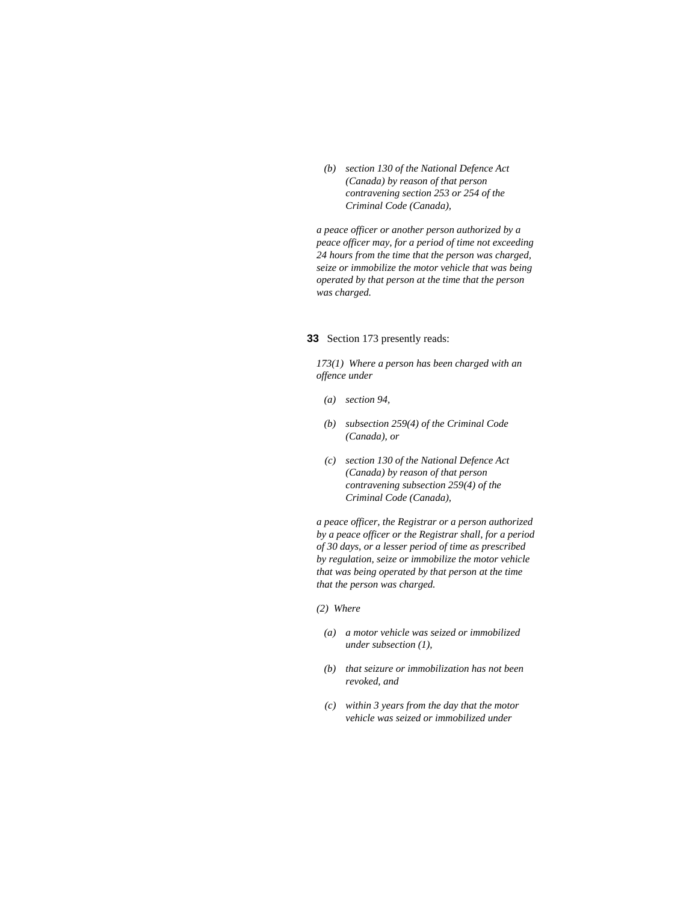*(b) section 130 of the National Defence Act (Canada) by reason of that person contravening section 253 or 254 of the Criminal Code (Canada),* 

*a peace officer or another person authorized by a peace officer may, for a period of time not exceeding 24 hours from the time that the person was charged, seize or immobilize the motor vehicle that was being operated by that person at the time that the person was charged.* 

### **33** Section 173 presently reads:

*173(1) Where a person has been charged with an offence under* 

- *(a) section 94,*
- *(b) subsection 259(4) of the Criminal Code (Canada), or*
- *(c) section 130 of the National Defence Act (Canada) by reason of that person contravening subsection 259(4) of the Criminal Code (Canada),*

*a peace officer, the Registrar or a person authorized by a peace officer or the Registrar shall, for a period of 30 days, or a lesser period of time as prescribed by regulation, seize or immobilize the motor vehicle that was being operated by that person at the time that the person was charged.* 

#### *(2) Where*

- *(a) a motor vehicle was seized or immobilized under subsection (1),*
- *(b) that seizure or immobilization has not been revoked, and*
- *(c) within 3 years from the day that the motor vehicle was seized or immobilized under*